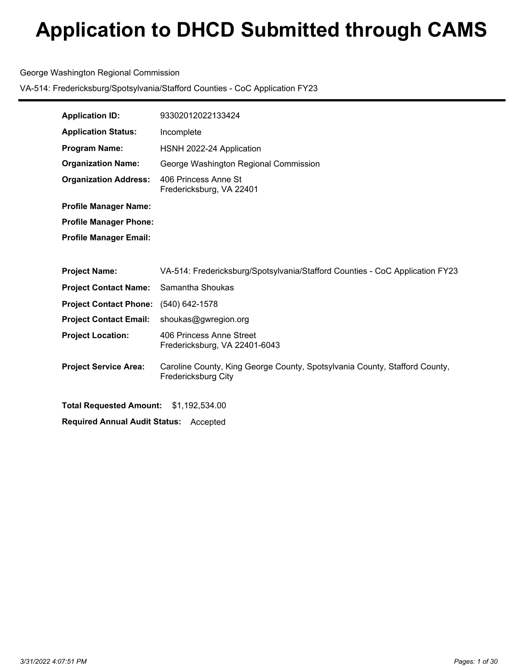### George Washington Regional Commission

| <b>Application ID:</b>                        | 93302012022133424                                                                                 |  |  |
|-----------------------------------------------|---------------------------------------------------------------------------------------------------|--|--|
| <b>Application Status:</b>                    | Incomplete                                                                                        |  |  |
| <b>Program Name:</b>                          | HSNH 2022-24 Application                                                                          |  |  |
| <b>Organization Name:</b>                     | George Washington Regional Commission                                                             |  |  |
| <b>Organization Address:</b>                  | 406 Princess Anne St<br>Fredericksburg, VA 22401                                                  |  |  |
| <b>Profile Manager Name:</b>                  |                                                                                                   |  |  |
| <b>Profile Manager Phone:</b>                 |                                                                                                   |  |  |
| <b>Profile Manager Email:</b>                 |                                                                                                   |  |  |
|                                               |                                                                                                   |  |  |
| <b>Project Name:</b>                          | VA-514: Fredericksburg/Spotsylvania/Stafford Counties - CoC Application FY23                      |  |  |
| <b>Project Contact Name:</b>                  | Samantha Shoukas                                                                                  |  |  |
| <b>Project Contact Phone:</b>                 | (540) 642-1578                                                                                    |  |  |
| <b>Project Contact Email:</b>                 | shoukas@gwregion.org                                                                              |  |  |
| <b>Project Location:</b>                      | 406 Princess Anne Street<br>Fredericksburg, VA 22401-6043                                         |  |  |
| <b>Project Service Area:</b>                  | Caroline County, King George County, Spotsylvania County, Stafford County,<br>Fredericksburg City |  |  |
| Total Requested Amount: \$1,192,534.00        |                                                                                                   |  |  |
| <b>Required Annual Audit Status: Accepted</b> |                                                                                                   |  |  |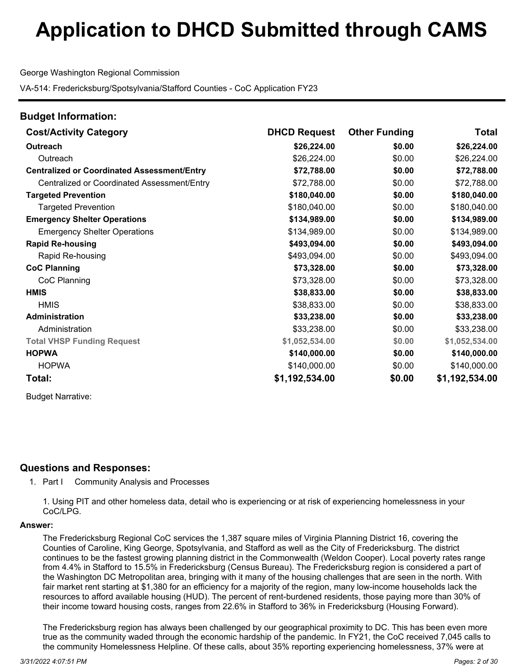George Washington Regional Commission

VA-514: Fredericksburg/Spotsylvania/Stafford Counties - CoC Application FY23

| <b>Budget Information:</b>                         |                     |                      |                |
|----------------------------------------------------|---------------------|----------------------|----------------|
| <b>Cost/Activity Category</b>                      | <b>DHCD Request</b> | <b>Other Funding</b> | Total          |
| <b>Outreach</b>                                    | \$26,224.00         | \$0.00               | \$26,224.00    |
| Outreach                                           | \$26,224.00         | \$0.00               | \$26,224.00    |
| <b>Centralized or Coordinated Assessment/Entry</b> | \$72,788.00         | \$0.00               | \$72,788.00    |
| Centralized or Coordinated Assessment/Entry        | \$72,788.00         | \$0.00               | \$72,788.00    |
| <b>Targeted Prevention</b>                         | \$180,040.00        | \$0.00               | \$180,040.00   |
| <b>Targeted Prevention</b>                         | \$180,040.00        | \$0.00               | \$180,040.00   |
| <b>Emergency Shelter Operations</b>                | \$134,989.00        | \$0.00               | \$134,989.00   |
| <b>Emergency Shelter Operations</b>                | \$134,989.00        | \$0.00               | \$134,989.00   |
| <b>Rapid Re-housing</b>                            | \$493,094.00        | \$0.00               | \$493,094.00   |
| Rapid Re-housing                                   | \$493,094.00        | \$0.00               | \$493,094.00   |
| <b>CoC Planning</b>                                | \$73,328.00         | \$0.00               | \$73,328.00    |
| CoC Planning                                       | \$73,328.00         | \$0.00               | \$73,328.00    |
| <b>HMIS</b>                                        | \$38,833.00         | \$0.00               | \$38,833.00    |
| <b>HMIS</b>                                        | \$38,833.00         | \$0.00               | \$38,833.00    |
| <b>Administration</b>                              | \$33,238.00         | \$0.00               | \$33,238.00    |
| Administration                                     | \$33,238.00         | \$0.00               | \$33,238.00    |
| <b>Total VHSP Funding Request</b>                  | \$1,052,534.00      | \$0.00               | \$1,052,534.00 |
| <b>HOPWA</b>                                       | \$140,000.00        | \$0.00               | \$140,000.00   |
| <b>HOPWA</b>                                       | \$140,000.00        | \$0.00               | \$140,000.00   |
| Total:                                             | \$1,192,534.00      | \$0.00               | \$1,192,534.00 |

Budget Narrative:

## **Questions and Responses:**

1. Part I Community Analysis and Processes

1. Using PIT and other homeless data, detail who is experiencing or at risk of experiencing homelessness in your CoC/LPG.

### **Answer:**

The Fredericksburg Regional CoC services the 1,387 square miles of Virginia Planning District 16, covering the Counties of Caroline, King George, Spotsylvania, and Stafford as well as the City of Fredericksburg. The district continues to be the fastest growing planning district in the Commonwealth (Weldon Cooper). Local poverty rates range from 4.4% in Stafford to 15.5% in Fredericksburg (Census Bureau). The Fredericksburg region is considered a part of the Washington DC Metropolitan area, bringing with it many of the housing challenges that are seen in the north. With fair market rent starting at \$1,380 for an efficiency for a majority of the region, many low-income households lack the resources to afford available housing (HUD). The percent of rent-burdened residents, those paying more than 30% of their income toward housing costs, ranges from 22.6% in Stafford to 36% in Fredericksburg (Housing Forward).

The Fredericksburg region has always been challenged by our geographical proximity to DC. This has been even more true as the community waded through the economic hardship of the pandemic. In FY21, the CoC received 7,045 calls to the community Homelessness Helpline. Of these calls, about 35% reporting experiencing homelessness, 37% were at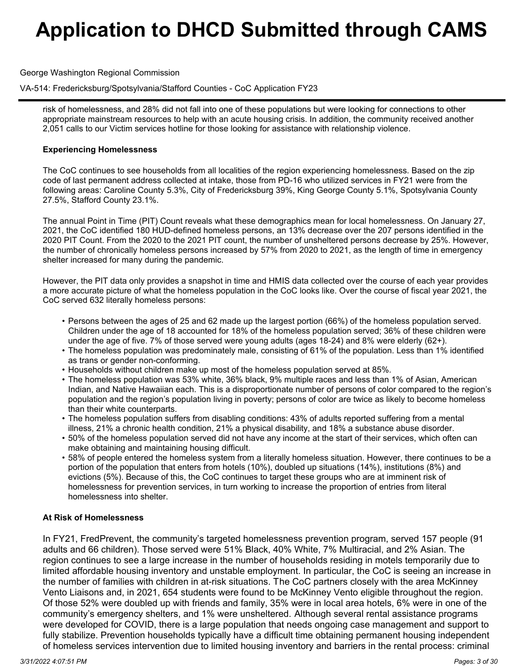George Washington Regional Commission

## VA-514: Fredericksburg/Spotsylvania/Stafford Counties - CoC Application FY23

risk of homelessness, and 28% did not fall into one of these populations but were looking for connections to other appropriate mainstream resources to help with an acute housing crisis. In addition, the community received another 2,051 calls to our Victim services hotline for those looking for assistance with relationship violence.

### **Experiencing Homelessness**

The CoC continues to see households from all localities of the region experiencing homelessness. Based on the zip code of last permanent address collected at intake, those from PD-16 who utilized services in FY21 were from the following areas: Caroline County 5.3%, City of Fredericksburg 39%, King George County 5.1%, Spotsylvania County 27.5%, Stafford County 23.1%.

The annual Point in Time (PIT) Count reveals what these demographics mean for local homelessness. On January 27, 2021, the CoC identified 180 HUD-defined homeless persons, an 13% decrease over the 207 persons identified in the 2020 PIT Count. From the 2020 to the 2021 PIT count, the number of unsheltered persons decrease by 25%. However, the number of chronically homeless persons increased by 57% from 2020 to 2021, as the length of time in emergency shelter increased for many during the pandemic.

However, the PIT data only provides a snapshot in time and HMIS data collected over the course of each year provides a more accurate picture of what the homeless population in the CoC looks like. Over the course of fiscal year 2021, the CoC served 632 literally homeless persons:

- Persons between the ages of 25 and 62 made up the largest portion (66%) of the homeless population served. Children under the age of 18 accounted for 18% of the homeless population served; 36% of these children were under the age of five. 7% of those served were young adults (ages 18-24) and 8% were elderly (62+).
- The homeless population was predominately male, consisting of 61% of the population. Less than 1% identified •as trans or gender non-conforming.
- Households without children make up most of the homeless population served at 85%.
- The homeless population was 53% white, 36% black, 9% multiple races and less than 1% of Asian, American •Indian, and Native Hawaiian each. This is a disproportionate number of persons of color compared to the region's population and the region's population living in poverty; persons of color are twice as likely to become homeless than their white counterparts.
- The homeless population suffers from disabling conditions: 43% of adults reported suffering from a mental •illness, 21% a chronic health condition, 21% a physical disability, and 18% a substance abuse disorder.
- 50% of the homeless population served did not have any income at the start of their services, which often can •make obtaining and maintaining housing difficult.
- 58% of people entered the homeless system from a literally homeless situation. However, there continues to be a •portion of the population that enters from hotels (10%), doubled up situations (14%), institutions (8%) and evictions (5%). Because of this, the CoC continues to target these groups who are at imminent risk of homelessness for prevention services, in turn working to increase the proportion of entries from literal homelessness into shelter.

## **At Risk of Homelessness**

In FY21, FredPrevent, the community's targeted homelessness prevention program, served 157 people (91 adults and 66 children). Those served were 51% Black, 40% White, 7% Multiracial, and 2% Asian. The region continues to see a large increase in the number of households residing in motels temporarily due to limited affordable housing inventory and unstable employment. In particular, the CoC is seeing an increase in the number of families with children in at-risk situations. The CoC partners closely with the area McKinney Vento Liaisons and, in 2021, 654 students were found to be McKinney Vento eligible throughout the region. Of those 52% were doubled up with friends and family, 35% were in local area hotels, 6% were in one of the community's emergency shelters, and 1% were unsheltered. Although several rental assistance programs were developed for COVID, there is a large population that needs ongoing case management and support to fully stabilize. Prevention households typically have a difficult time obtaining permanent housing independent of homeless services intervention due to limited housing inventory and barriers in the rental process: criminal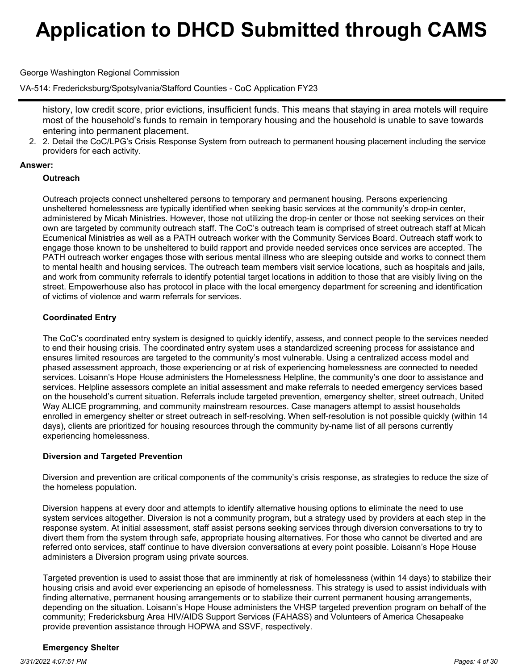George Washington Regional Commission

VA-514: Fredericksburg/Spotsylvania/Stafford Counties - CoC Application FY23

history, low credit score, prior evictions, insufficient funds. This means that staying in area motels will require most of the household's funds to remain in temporary housing and the household is unable to save towards entering into permanent placement.

2. Detail the CoC/LPG's Crisis Response System from outreach to permanent housing placement including the service 2. providers for each activity.

### **Answer:**

### **Outreach**

Outreach projects connect unsheltered persons to temporary and permanent housing. Persons experiencing unsheltered homelessness are typically identified when seeking basic services at the community's drop-in center, administered by Micah Ministries. However, those not utilizing the drop-in center or those not seeking services on their own are targeted by community outreach staff. The CoC's outreach team is comprised of street outreach staff at Micah Ecumenical Ministries as well as a PATH outreach worker with the Community Services Board. Outreach staff work to engage those known to be unsheltered to build rapport and provide needed services once services are accepted. The PATH outreach worker engages those with serious mental illness who are sleeping outside and works to connect them to mental health and housing services. The outreach team members visit service locations, such as hospitals and jails, and work from community referrals to identify potential target locations in addition to those that are visibly living on the street. Empowerhouse also has protocol in place with the local emergency department for screening and identification of victims of violence and warm referrals for services.

## **Coordinated Entry**

The CoC's coordinated entry system is designed to quickly identify, assess, and connect people to the services needed to end their housing crisis. The coordinated entry system uses a standardized screening process for assistance and ensures limited resources are targeted to the community's most vulnerable. Using a centralized access model and phased assessment approach, those experiencing or at risk of experiencing homelessness are connected to needed services. Loisann's Hope House administers the Homelessness Helpline, the community's one door to assistance and services. Helpline assessors complete an initial assessment and make referrals to needed emergency services based on the household's current situation. Referrals include targeted prevention, emergency shelter, street outreach, United Way ALICE programming, and community mainstream resources. Case managers attempt to assist households enrolled in emergency shelter or street outreach in self-resolving. When self-resolution is not possible quickly (within 14 days), clients are prioritized for housing resources through the community by-name list of all persons currently experiencing homelessness.

## **Diversion and Targeted Prevention**

Diversion and prevention are critical components of the community's crisis response, as strategies to reduce the size of the homeless population.

Diversion happens at every door and attempts to identify alternative housing options to eliminate the need to use system services altogether. Diversion is not a community program, but a strategy used by providers at each step in the response system. At initial assessment, staff assist persons seeking services through diversion conversations to try to divert them from the system through safe, appropriate housing alternatives. For those who cannot be diverted and are referred onto services, staff continue to have diversion conversations at every point possible. Loisann's Hope House administers a Diversion program using private sources.

Targeted prevention is used to assist those that are imminently at risk of homelessness (within 14 days) to stabilize their housing crisis and avoid ever experiencing an episode of homelessness. This strategy is used to assist individuals with finding alternative, permanent housing arrangements or to stabilize their current permanent housing arrangements, depending on the situation. Loisann's Hope House administers the VHSP targeted prevention program on behalf of the community; Fredericksburg Area HIV/AIDS Support Services (FAHASS) and Volunteers of America Chesapeake provide prevention assistance through HOPWA and SSVF, respectively.

### **Emergency Shelter**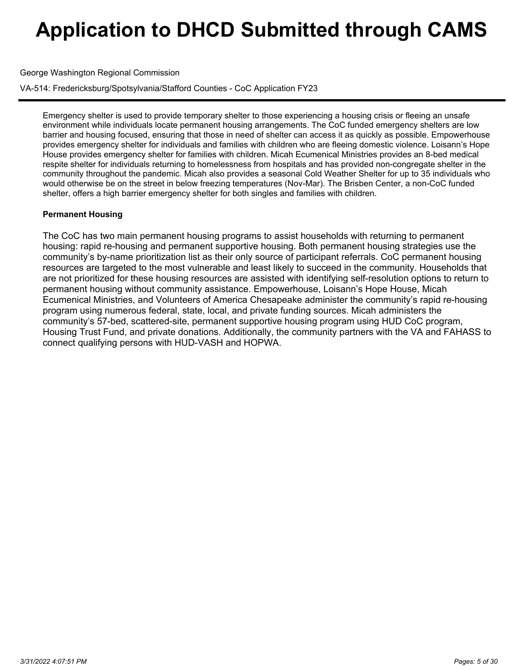George Washington Regional Commission

VA-514: Fredericksburg/Spotsylvania/Stafford Counties - CoC Application FY23

Emergency shelter is used to provide temporary shelter to those experiencing a housing crisis or fleeing an unsafe environment while individuals locate permanent housing arrangements. The CoC funded emergency shelters are low barrier and housing focused, ensuring that those in need of shelter can access it as quickly as possible. Empowerhouse provides emergency shelter for individuals and families with children who are fleeing domestic violence. Loisann's Hope House provides emergency shelter for families with children. Micah Ecumenical Ministries provides an 8-bed medical respite shelter for individuals returning to homelessness from hospitals and has provided non-congregate shelter in the community throughout the pandemic. Micah also provides a seasonal Cold Weather Shelter for up to 35 individuals who would otherwise be on the street in below freezing temperatures (Nov-Mar). The Brisben Center, a non-CoC funded shelter, offers a high barrier emergency shelter for both singles and families with children.

## **Permanent Housing**

The CoC has two main permanent housing programs to assist households with returning to permanent housing: rapid re-housing and permanent supportive housing. Both permanent housing strategies use the community's by-name prioritization list as their only source of participant referrals. CoC permanent housing resources are targeted to the most vulnerable and least likely to succeed in the community. Households that are not prioritized for these housing resources are assisted with identifying self-resolution options to return to permanent housing without community assistance. Empowerhouse, Loisann's Hope House, Micah Ecumenical Ministries, and Volunteers of America Chesapeake administer the community's rapid re-housing program using numerous federal, state, local, and private funding sources. Micah administers the community's 57-bed, scattered-site, permanent supportive housing program using HUD CoC program, Housing Trust Fund, and private donations. Additionally, the community partners with the VA and FAHASS to connect qualifying persons with HUD-VASH and HOPWA.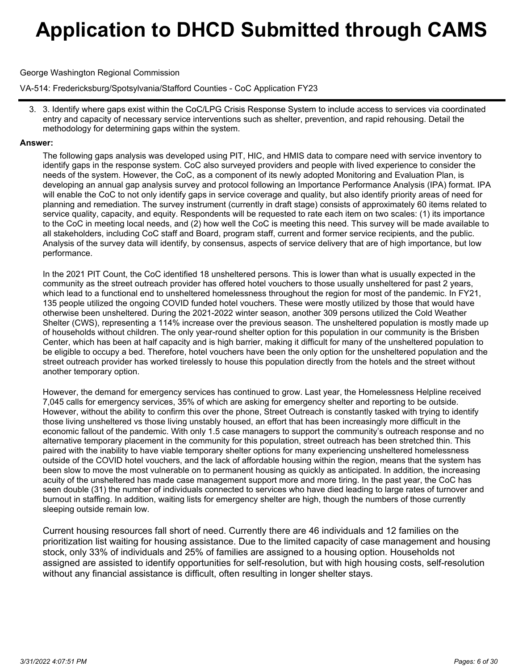### George Washington Regional Commission

VA-514: Fredericksburg/Spotsylvania/Stafford Counties - CoC Application FY23

3. Identify where gaps exist within the CoC/LPG Crisis Response System to include access to services via coordinated 3. entry and capacity of necessary service interventions such as shelter, prevention, and rapid rehousing. Detail the methodology for determining gaps within the system.

#### **Answer:**

The following gaps analysis was developed using PIT, HIC, and HMIS data to compare need with service inventory to identify gaps in the response system. CoC also surveyed providers and people with lived experience to consider the needs of the system. However, the CoC, as a component of its newly adopted Monitoring and Evaluation Plan, is developing an annual gap analysis survey and protocol following an Importance Performance Analysis (IPA) format. IPA will enable the CoC to not only identify gaps in service coverage and quality, but also identify priority areas of need for planning and remediation. The survey instrument (currently in draft stage) consists of approximately 60 items related to service quality, capacity, and equity. Respondents will be requested to rate each item on two scales: (1) its importance to the CoC in meeting local needs, and (2) how well the CoC is meeting this need. This survey will be made available to all stakeholders, including CoC staff and Board, program staff, current and former service recipients, and the public. Analysis of the survey data will identify, by consensus, aspects of service delivery that are of high importance, but low performance.

In the 2021 PIT Count, the CoC identified 18 unsheltered persons. This is lower than what is usually expected in the community as the street outreach provider has offered hotel vouchers to those usually unsheltered for past 2 years, which lead to a functional end to unsheltered homelessness throughout the region for most of the pandemic. In FY21, 135 people utilized the ongoing COVID funded hotel vouchers. These were mostly utilized by those that would have otherwise been unsheltered. During the 2021-2022 winter season, another 309 persons utilized the Cold Weather Shelter (CWS), representing a 114% increase over the previous season. The unsheltered population is mostly made up of households without children. The only year-round shelter option for this population in our community is the Brisben Center, which has been at half capacity and is high barrier, making it difficult for many of the unsheltered population to be eligible to occupy a bed. Therefore, hotel vouchers have been the only option for the unsheltered population and the street outreach provider has worked tirelessly to house this population directly from the hotels and the street without another temporary option.

However, the demand for emergency services has continued to grow. Last year, the Homelessness Helpline received 7,045 calls for emergency services, 35% of which are asking for emergency shelter and reporting to be outside. However, without the ability to confirm this over the phone, Street Outreach is constantly tasked with trying to identify those living unsheltered vs those living unstably housed, an effort that has been increasingly more difficult in the economic fallout of the pandemic. With only 1.5 case managers to support the community's outreach response and no alternative temporary placement in the community for this population, street outreach has been stretched thin. This paired with the inability to have viable temporary shelter options for many experiencing unsheltered homelessness outside of the COVID hotel vouchers, and the lack of affordable housing within the region, means that the system has been slow to move the most vulnerable on to permanent housing as quickly as anticipated. In addition, the increasing acuity of the unsheltered has made case management support more and more tiring. In the past year, the CoC has seen double (31) the number of individuals connected to services who have died leading to large rates of turnover and burnout in staffing. In addition, waiting lists for emergency shelter are high, though the numbers of those currently sleeping outside remain low.

Current housing resources fall short of need. Currently there are 46 individuals and 12 families on the prioritization list waiting for housing assistance. Due to the limited capacity of case management and housing stock, only 33% of individuals and 25% of families are assigned to a housing option. Households not assigned are assisted to identify opportunities for self-resolution, but with high housing costs, self-resolution without any financial assistance is difficult, often resulting in longer shelter stays.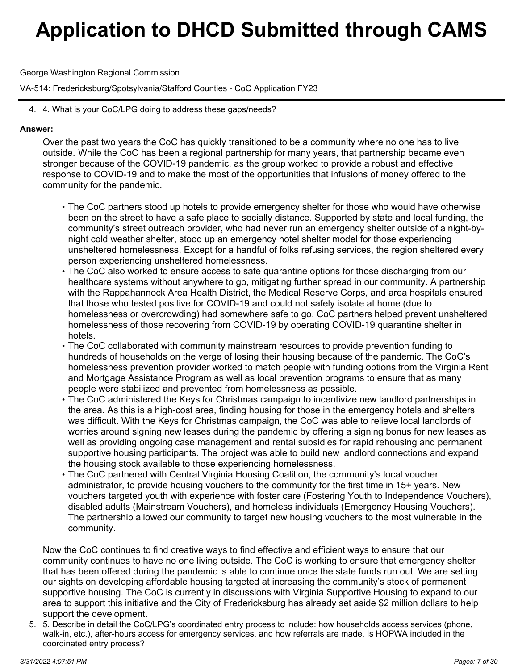George Washington Regional Commission

VA-514: Fredericksburg/Spotsylvania/Stafford Counties - CoC Application FY23

4. 4. What is your CoC/LPG doing to address these gaps/needs?

### **Answer:**

Over the past two years the CoC has quickly transitioned to be a community where no one has to live outside. While the CoC has been a regional partnership for many years, that partnership became even stronger because of the COVID-19 pandemic, as the group worked to provide a robust and effective response to COVID-19 and to make the most of the opportunities that infusions of money offered to the community for the pandemic.

- The CoC partners stood up hotels to provide emergency shelter for those who would have otherwise •been on the street to have a safe place to socially distance. Supported by state and local funding, the community's street outreach provider, who had never run an emergency shelter outside of a night-bynight cold weather shelter, stood up an emergency hotel shelter model for those experiencing unsheltered homelessness. Except for a handful of folks refusing services, the region sheltered every person experiencing unsheltered homelessness.
- $\bm{\cdot}$  The CoC also worked to ensure access to safe quarantine options for those discharging from our healthcare systems without anywhere to go, mitigating further spread in our community. A partnership with the Rappahannock Area Health District, the Medical Reserve Corps, and area hospitals ensured that those who tested positive for COVID-19 and could not safely isolate at home (due to homelessness or overcrowding) had somewhere safe to go. CoC partners helped prevent unsheltered homelessness of those recovering from COVID-19 by operating COVID-19 quarantine shelter in hotels.
- The CoC collaborated with community mainstream resources to provide prevention funding to •hundreds of households on the verge of losing their housing because of the pandemic. The CoC's homelessness prevention provider worked to match people with funding options from the Virginia Rent and Mortgage Assistance Program as well as local prevention programs to ensure that as many people were stabilized and prevented from homelessness as possible.
- $\bm{\cdot}$  The CoC administered the Keys for Christmas campaign to incentivize new landlord partnerships in the area. As this is a high-cost area, finding housing for those in the emergency hotels and shelters was difficult. With the Keys for Christmas campaign, the CoC was able to relieve local landlords of worries around signing new leases during the pandemic by offering a signing bonus for new leases as well as providing ongoing case management and rental subsidies for rapid rehousing and permanent supportive housing participants. The project was able to build new landlord connections and expand the housing stock available to those experiencing homelessness.
- The CoC partnered with Central Virginia Housing Coalition, the community's local voucher •administrator, to provide housing vouchers to the community for the first time in 15+ years. New vouchers targeted youth with experience with foster care (Fostering Youth to Independence Vouchers), disabled adults (Mainstream Vouchers), and homeless individuals (Emergency Housing Vouchers). The partnership allowed our community to target new housing vouchers to the most vulnerable in the community.

Now the CoC continues to find creative ways to find effective and efficient ways to ensure that our community continues to have no one living outside. The CoC is working to ensure that emergency shelter that has been offered during the pandemic is able to continue once the state funds run out. We are setting our sights on developing affordable housing targeted at increasing the community's stock of permanent supportive housing. The CoC is currently in discussions with Virginia Supportive Housing to expand to our area to support this initiative and the City of Fredericksburg has already set aside \$2 million dollars to help support the development.

5. Describe in detail the CoC/LPG's coordinated entry process to include: how households access services (phone, 5. walk-in, etc.), after-hours access for emergency services, and how referrals are made. Is HOPWA included in the coordinated entry process?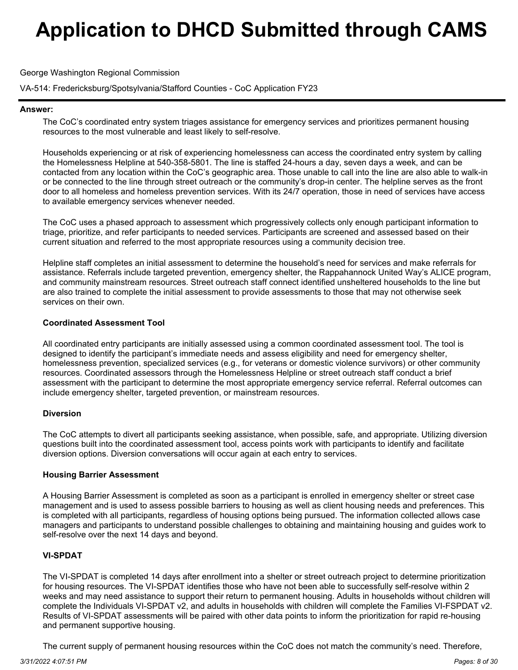George Washington Regional Commission

VA-514: Fredericksburg/Spotsylvania/Stafford Counties - CoC Application FY23

#### **Answer:**

The CoC's coordinated entry system triages assistance for emergency services and prioritizes permanent housing resources to the most vulnerable and least likely to self-resolve.

Households experiencing or at risk of experiencing homelessness can access the coordinated entry system by calling the Homelessness Helpline at 540-358-5801. The line is staffed 24-hours a day, seven days a week, and can be contacted from any location within the CoC's geographic area. Those unable to call into the line are also able to walk-in or be connected to the line through street outreach or the community's drop-in center. The helpline serves as the front door to all homeless and homeless prevention services. With its 24/7 operation, those in need of services have access to available emergency services whenever needed.

The CoC uses a phased approach to assessment which progressively collects only enough participant information to triage, prioritize, and refer participants to needed services. Participants are screened and assessed based on their current situation and referred to the most appropriate resources using a community decision tree.

Helpline staff completes an initial assessment to determine the household's need for services and make referrals for assistance. Referrals include targeted prevention, emergency shelter, the Rappahannock United Way's ALICE program, and community mainstream resources. Street outreach staff connect identified unsheltered households to the line but are also trained to complete the initial assessment to provide assessments to those that may not otherwise seek services on their own.

### **Coordinated Assessment Tool**

All coordinated entry participants are initially assessed using a common coordinated assessment tool. The tool is designed to identify the participant's immediate needs and assess eligibility and need for emergency shelter, homelessness prevention, specialized services (e.g., for veterans or domestic violence survivors) or other community resources. Coordinated assessors through the Homelessness Helpline or street outreach staff conduct a brief assessment with the participant to determine the most appropriate emergency service referral. Referral outcomes can include emergency shelter, targeted prevention, or mainstream resources.

### **Diversion**

The CoC attempts to divert all participants seeking assistance, when possible, safe, and appropriate. Utilizing diversion questions built into the coordinated assessment tool, access points work with participants to identify and facilitate diversion options. Diversion conversations will occur again at each entry to services.

### **Housing Barrier Assessment**

A Housing Barrier Assessment is completed as soon as a participant is enrolled in emergency shelter or street case management and is used to assess possible barriers to housing as well as client housing needs and preferences. This is completed with all participants, regardless of housing options being pursued. The information collected allows case managers and participants to understand possible challenges to obtaining and maintaining housing and guides work to self-resolve over the next 14 days and beyond.

## **VI-SPDAT**

The VI-SPDAT is completed 14 days after enrollment into a shelter or street outreach project to determine prioritization for housing resources. The VI-SPDAT identifies those who have not been able to successfully self-resolve within 2 weeks and may need assistance to support their return to permanent housing. Adults in households without children will complete the Individuals VI-SPDAT v2, and adults in households with children will complete the Families VI-FSPDAT v2. Results of VI-SPDAT assessments will be paired with other data points to inform the prioritization for rapid re-housing and permanent supportive housing.

The current supply of permanent housing resources within the CoC does not match the community's need. Therefore,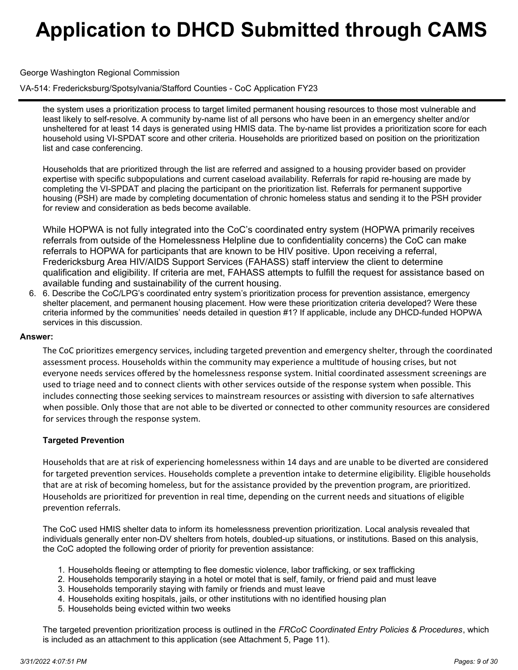### George Washington Regional Commission

VA-514: Fredericksburg/Spotsylvania/Stafford Counties - CoC Application FY23

the system uses a prioritization process to target limited permanent housing resources to those most vulnerable and least likely to self-resolve. A community by-name list of all persons who have been in an emergency shelter and/or unsheltered for at least 14 days is generated using HMIS data. The by-name list provides a prioritization score for each household using VI-SPDAT score and other criteria. Households are prioritized based on position on the prioritization list and case conferencing.

Households that are prioritized through the list are referred and assigned to a housing provider based on provider expertise with specific subpopulations and current caseload availability. Referrals for rapid re-housing are made by completing the VI-SPDAT and placing the participant on the prioritization list. Referrals for permanent supportive housing (PSH) are made by completing documentation of chronic homeless status and sending it to the PSH provider for review and consideration as beds become available.

While HOPWA is not fully integrated into the CoC's coordinated entry system (HOPWA primarily receives referrals from outside of the Homelessness Helpline due to confidentiality concerns) the CoC can make referrals to HOPWA for participants that are known to be HIV positive. Upon receiving a referral, Fredericksburg Area HIV/AIDS Support Services (FAHASS) staff interview the client to determine qualification and eligibility. If criteria are met, FAHASS attempts to fulfill the request for assistance based on available funding and sustainability of the current housing.

6. Describe the CoC/LPG's coordinated entry system's prioritization process for prevention assistance, emergency 6. shelter placement, and permanent housing placement. How were these prioritization criteria developed? Were these criteria informed by the communities' needs detailed in question #1? If applicable, include any DHCD-funded HOPWA services in this discussion.

#### **Answer:**

The CoC prioritizes emergency services, including targeted prevention and emergency shelter, through the coordinated assessment process. Households within the community may experience a multitude of housing crises, but not everyone needs services offered by the homelessness response system. Initial coordinated assessment screenings are used to triage need and to connect clients with other services outside of the response system when possible. This includes connecting those seeking services to mainstream resources or assisting with diversion to safe alternatives when possible. Only those that are not able to be diverted or connected to other community resources are considered for services through the response system.

### **Targeted Prevention**

Households that are at risk of experiencing homelessness within 14 days and are unable to be diverted are considered for targeted prevention services. Households complete a prevention intake to determine eligibility. Eligible households that are at risk of becoming homeless, but for the assistance provided by the prevention program, are prioritized. Households are prioritized for prevention in real time, depending on the current needs and situations of eligible prevention referrals.

The CoC used HMIS shelter data to inform its homelessness prevention prioritization. Local analysis revealed that individuals generally enter non-DV shelters from hotels, doubled-up situations, or institutions. Based on this analysis, the CoC adopted the following order of priority for prevention assistance:

- 1. Households fleeing or attempting to flee domestic violence, labor trafficking, or sex trafficking
- 2. Households temporarily staying in a hotel or motel that is self, family, or friend paid and must leave
- 3. Households temporarily staying with family or friends and must leave
- 4. Households exiting hospitals, jails, or other institutions with no identified housing plan
- 5. Households being evicted within two weeks

The targeted prevention prioritization process is outlined in the *FRCoC Coordinated Entry Policies & Procedures*, which is included as an attachment to this application (see Attachment 5, Page 11).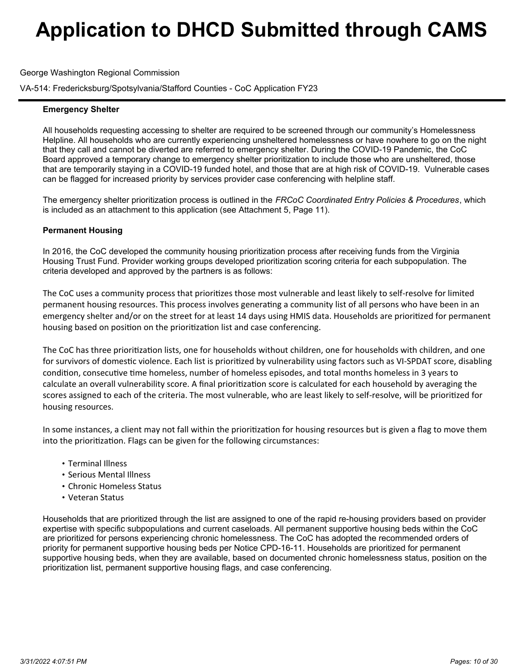George Washington Regional Commission

VA-514: Fredericksburg/Spotsylvania/Stafford Counties - CoC Application FY23

### **Emergency Shelter**

All households requesting accessing to shelter are required to be screened through our community's Homelessness Helpline. All households who are currently experiencing unsheltered homelessness or have nowhere to go on the night that they call and cannot be diverted are referred to emergency shelter. During the COVID-19 Pandemic, the CoC Board approved a temporary change to emergency shelter prioritization to include those who are unsheltered, those that are temporarily staying in a COVID-19 funded hotel, and those that are at high risk of COVID-19. Vulnerable cases can be flagged for increased priority by services provider case conferencing with helpline staff.

The emergency shelter prioritization process is outlined in the *FRCoC Coordinated Entry Policies & Procedures*, which is included as an attachment to this application (see Attachment 5, Page 11).

### **Permanent Housing**

In 2016, the CoC developed the community housing prioritization process after receiving funds from the Virginia Housing Trust Fund. Provider working groups developed prioritization scoring criteria for each subpopulation. The criteria developed and approved by the partners is as follows:

The CoC uses a community process that prioritizes those most vulnerable and least likely to self-resolve for limited permanent housing resources. This process involves generating a community list of all persons who have been in an emergency shelter and/or on the street for at least 14 days using HMIS data. Households are prioritized for permanent housing based on position on the prioritization list and case conferencing.

The CoC has three prioritization lists, one for households without children, one for households with children, and one for survivors of domestic violence. Each list is prioritized by vulnerability using factors such as VI-SPDAT score, disabling condition, consecutive time homeless, number of homeless episodes, and total months homeless in 3 years to calculate an overall vulnerability score. A final prioritization score is calculated for each household by averaging the scores assigned to each of the criteria. The most vulnerable, who are least likely to self-resolve, will be prioritized for housing resources.

In some instances, a client may not fall within the prioritization for housing resources but is given a flag to move them into the prioritization. Flags can be given for the following circumstances:

- Terminal Illness
- Serious Mental Illness
- Chronic Homeless Status
- Veteran Status

Households that are prioritized through the list are assigned to one of the rapid re-housing providers based on provider expertise with specific subpopulations and current caseloads. All permanent supportive housing beds within the CoC are prioritized for persons experiencing chronic homelessness. The CoC has adopted the recommended orders of priority for permanent supportive housing beds per Notice CPD-16-11. Households are prioritized for permanent supportive housing beds, when they are available, based on documented chronic homelessness status, position on the prioritization list, permanent supportive housing flags, and case conferencing.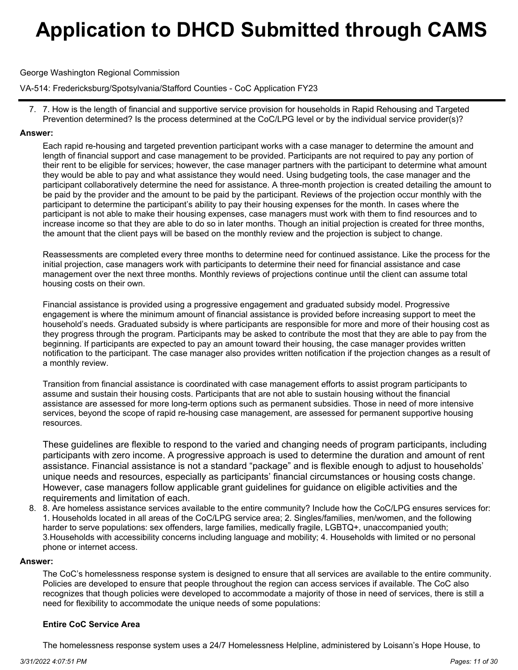George Washington Regional Commission

VA-514: Fredericksburg/Spotsylvania/Stafford Counties - CoC Application FY23

7. How is the length of financial and supportive service provision for households in Rapid Rehousing and Targeted 7. Prevention determined? Is the process determined at the CoC/LPG level or by the individual service provider(s)?

### **Answer:**

Each rapid re-housing and targeted prevention participant works with a case manager to determine the amount and length of financial support and case management to be provided. Participants are not required to pay any portion of their rent to be eligible for services; however, the case manager partners with the participant to determine what amount they would be able to pay and what assistance they would need. Using budgeting tools, the case manager and the participant collaboratively determine the need for assistance. A three-month projection is created detailing the amount to be paid by the provider and the amount to be paid by the participant. Reviews of the projection occur monthly with the participant to determine the participant's ability to pay their housing expenses for the month. In cases where the participant is not able to make their housing expenses, case managers must work with them to find resources and to increase income so that they are able to do so in later months. Though an initial projection is created for three months, the amount that the client pays will be based on the monthly review and the projection is subject to change.

Reassessments are completed every three months to determine need for continued assistance. Like the process for the initial projection, case managers work with participants to determine their need for financial assistance and case management over the next three months. Monthly reviews of projections continue until the client can assume total housing costs on their own.

Financial assistance is provided using a progressive engagement and graduated subsidy model. Progressive engagement is where the minimum amount of financial assistance is provided before increasing support to meet the household's needs. Graduated subsidy is where participants are responsible for more and more of their housing cost as they progress through the program. Participants may be asked to contribute the most that they are able to pay from the beginning. If participants are expected to pay an amount toward their housing, the case manager provides written notification to the participant. The case manager also provides written notification if the projection changes as a result of a monthly review.

Transition from financial assistance is coordinated with case management efforts to assist program participants to assume and sustain their housing costs. Participants that are not able to sustain housing without the financial assistance are assessed for more long-term options such as permanent subsidies. Those in need of more intensive services, beyond the scope of rapid re-housing case management, are assessed for permanent supportive housing resources.

These guidelines are flexible to respond to the varied and changing needs of program participants, including participants with zero income. A progressive approach is used to determine the duration and amount of rent assistance. Financial assistance is not a standard "package" and is flexible enough to adjust to households' unique needs and resources, especially as participants' financial circumstances or housing costs change. However, case managers follow applicable grant guidelines for guidance on eligible activities and the requirements and limitation of each.

8. Are homeless assistance services available to the entire community? Include how the CoC/LPG ensures services for: 8. 1. Households located in all areas of the CoC/LPG service area; 2. Singles/families, men/women, and the following harder to serve populations: sex offenders, large families, medically fragile, LGBTQ+, unaccompanied youth; 3.Households with accessibility concerns including language and mobility; 4. Households with limited or no personal phone or internet access.

### **Answer:**

The CoC's homelessness response system is designed to ensure that all services are available to the entire community. Policies are developed to ensure that people throughout the region can access services if available. The CoC also recognizes that though policies were developed to accommodate a majority of those in need of services, there is still a need for flexibility to accommodate the unique needs of some populations:

### **Entire CoC Service Area**

The homelessness response system uses a 24/7 Homelessness Helpline, administered by Loisann's Hope House, to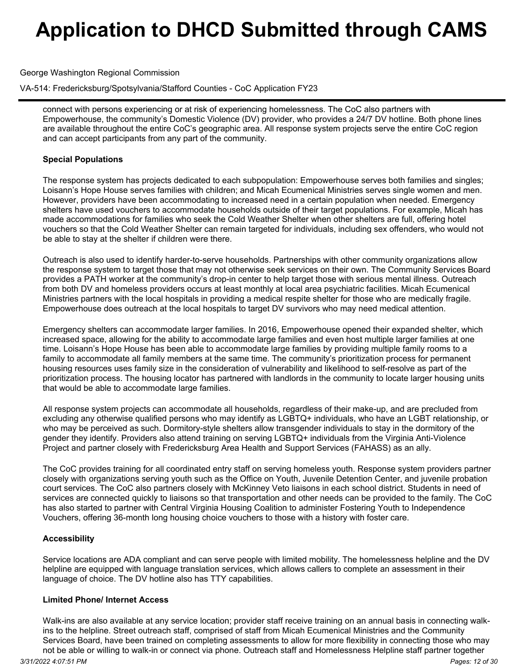George Washington Regional Commission

VA-514: Fredericksburg/Spotsylvania/Stafford Counties - CoC Application FY23

connect with persons experiencing or at risk of experiencing homelessness. The CoC also partners with Empowerhouse, the community's Domestic Violence (DV) provider, who provides a 24/7 DV hotline. Both phone lines are available throughout the entire CoC's geographic area. All response system projects serve the entire CoC region and can accept participants from any part of the community.

### **Special Populations**

The response system has projects dedicated to each subpopulation: Empowerhouse serves both families and singles; Loisann's Hope House serves families with children; and Micah Ecumenical Ministries serves single women and men. However, providers have been accommodating to increased need in a certain population when needed. Emergency shelters have used vouchers to accommodate households outside of their target populations. For example, Micah has made accommodations for families who seek the Cold Weather Shelter when other shelters are full, offering hotel vouchers so that the Cold Weather Shelter can remain targeted for individuals, including sex offenders, who would not be able to stay at the shelter if children were there.

Outreach is also used to identify harder-to-serve households. Partnerships with other community organizations allow the response system to target those that may not otherwise seek services on their own. The Community Services Board provides a PATH worker at the community's drop-in center to help target those with serious mental illness. Outreach from both DV and homeless providers occurs at least monthly at local area psychiatric facilities. Micah Ecumenical Ministries partners with the local hospitals in providing a medical respite shelter for those who are medically fragile. Empowerhouse does outreach at the local hospitals to target DV survivors who may need medical attention.

Emergency shelters can accommodate larger families. In 2016, Empowerhouse opened their expanded shelter, which increased space, allowing for the ability to accommodate large families and even host multiple larger families at one time. Loisann's Hope House has been able to accommodate large families by providing multiple family rooms to a family to accommodate all family members at the same time. The community's prioritization process for permanent housing resources uses family size in the consideration of vulnerability and likelihood to self-resolve as part of the prioritization process. The housing locator has partnered with landlords in the community to locate larger housing units that would be able to accommodate large families.

All response system projects can accommodate all households, regardless of their make-up, and are precluded from excluding any otherwise qualified persons who may identify as LGBTQ+ individuals, who have an LGBT relationship, or who may be perceived as such. Dormitory-style shelters allow transgender individuals to stay in the dormitory of the gender they identify. Providers also attend training on serving LGBTQ+ individuals from the Virginia Anti-Violence Project and partner closely with Fredericksburg Area Health and Support Services (FAHASS) as an ally.

The CoC provides training for all coordinated entry staff on serving homeless youth. Response system providers partner closely withorganizations serving youth such as the Office on Youth, Juvenile Detention Center, and juvenile probation court services. The CoC also partners closely with McKinney Veto liaisons in each school district. Students in need of services are connected quickly to liaisons so that transportation and other needs can be provided to the family. The CoC has also started to partner with Central Virginia Housing Coalition to administer Fostering Youth to Independence Vouchers, offering 36-month long housing choice vouchers to those with a history with foster care.

## **Accessibility**

Service locations are ADA compliant and can serve people with limited mobility. The homelessness helpline and the DV helpline are equipped with language translation services, which allows callers to complete an assessment in their language of choice. The DV hotline also has TTY capabilities.

### **Limited Phone/ Internet Access**

Walk-ins are also available at any service location; provider staff receive training on an annual basis in connecting walkins to the helpline. Street outreach staff, comprised of staff from Micah Ecumenical Ministries and the Community Services Board, have been trained on completing assessments to allow for more flexibility in connecting those who may not be able or willing to walk-in or connect via phone. Outreach staff and Homelessness Helpline staff partner together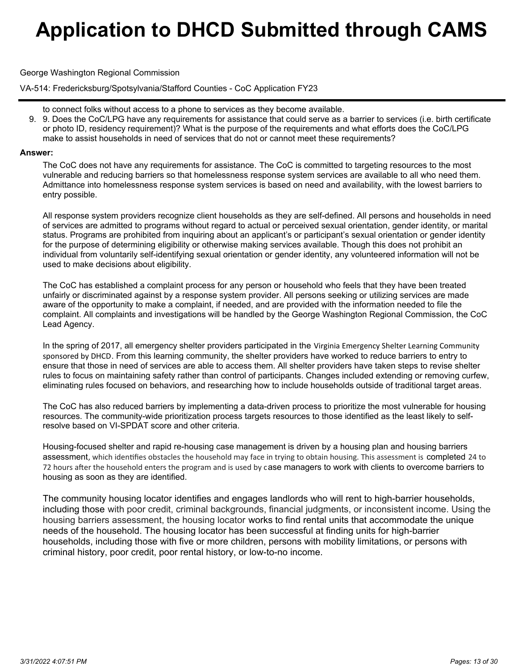George Washington Regional Commission

VA-514: Fredericksburg/Spotsylvania/Stafford Counties - CoC Application FY23

- to connect folks without access to a phone to services as they become available.
- 9. Does the CoC/LPG have any requirements for assistance that could serve as a barrier to services (i.e. birth certificate 9. or photo ID, residency requirement)? What is the purpose of the requirements and what efforts does the CoC/LPG make to assist households in need of services that do not or cannot meet these requirements?

### **Answer:**

The CoC does not have any requirements for assistance. The CoC is committed to targeting resources to the most vulnerable and reducing barriers so that homelessness response system services are available to all who need them. Admittance into homelessness response system services is based on need and availability, with the lowest barriers to entry possible.

All response system providers recognize client households as they are self-defined. All persons and households in need of services are admitted to programs without regard to actual or perceived sexual orientation, gender identity, or marital status. Programs are prohibited from inquiring about an applicant's or participant's sexual orientation or gender identity for the purpose of determining eligibility or otherwise making services available. Though this does not prohibit an individual from voluntarily self-identifying sexual orientation or gender identity, any volunteered information will not be used to make decisions about eligibility.

The CoC has established a complaint process for any person or household who feels that they have been treated unfairly or discriminated against by a response system provider. All persons seeking or utilizing services are made aware of the opportunity to make a complaint, if needed, and are provided with the information needed to file the complaint. All complaints and investigations will be handled by the George Washington Regional Commission, the CoC Lead Agency.

In the spring of 2017, all emergency shelter providers participated in the Virginia Emergency Shelter Learning Community sponsored by DHCD. From this learning community, the shelter providers have worked to reduce barriers to entry to ensure that those in need of services are able to access them. All shelter providers have taken steps to revise shelter rules to focus on maintaining safety rather than control of participants. Changes included extending or removing curfew, eliminating rules focused on behaviors, and researching how to include households outside of traditional target areas.

The CoC has also reduced barriers by implementing a data-driven process to prioritize the most vulnerable for housing resources. The community-wide prioritization process targets resources to those identified as the least likely to selfresolve based on VI-SPDAT score and other criteria.

Housing-focused shelter and rapid re-housing case management is driven by a housing plan and housing barriers assessment, which identifies obstacles the household may face in trying to obtain housing. This assessment is completed 24 to 72 hours after the household enters the program and is used by case managers to work with clients to overcome barriers to housing as soon as they are identified.

The community housing locator identifies and engages landlords who will rent to high-barrier households, including those with poor credit, criminal backgrounds, financial judgments, or inconsistent income. Using the housing barriers assessment, the housing locator works to find rental units that accommodate the unique needs of the household. The housing locator has been successful at finding units for high-barrier households, including those with five or more children, persons with mobility limitations, or persons with criminal history, poor credit, poor rental history, or low-to-no income.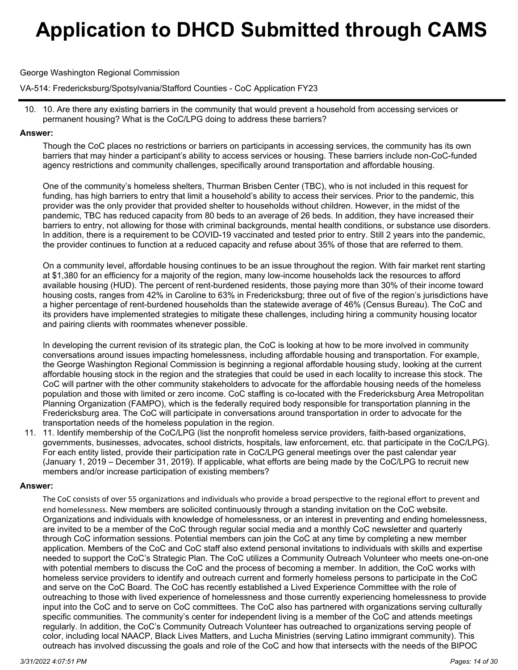George Washington Regional Commission

VA-514: Fredericksburg/Spotsylvania/Stafford Counties - CoC Application FY23

10. Are there any existing barriers in the community that would prevent a household from accessing services or 10. permanent housing? What is the CoC/LPG doing to address these barriers?

### **Answer:**

Though the CoC places no restrictions or barriers on participants in accessing services, the community has its own barriers that may hinder a participant's ability to access services or housing. These barriers include non-CoC-funded agency restrictions and community challenges, specifically around transportation and affordable housing.

One of the community's homeless shelters, Thurman Brisben Center (TBC), who is not included in this request for funding, has high barriers to entry that limit a household's ability to access their services. Prior to the pandemic, this provider was the only provider that provided shelter to households without children. However, in the midst of the pandemic, TBC has reduced capacity from 80 beds to an average of 26 beds. In addition, they have increased their barriers to entry, not allowing for those with criminal backgrounds, mental health conditions, or substance use disorders. In addition, there is a requirement to be COVID-19 vaccinated and tested prior to entry. Still 2 years into the pandemic, the provider continues to function at a reduced capacity and refuse about 35% of those that are referred to them.

On a community level, affordable housing continues to be an issue throughout the region. With fair market rent starting at \$1,380 for an efficiency for a majority of the region, many low-income households lack the resources to afford available housing (HUD). The percent of rent-burdened residents, those paying more than 30% of their income toward housing costs, ranges from 42% in Caroline to 63% in Fredericksburg; three out of five of the region's jurisdictions have a higher percentage of rent-burdened households than the statewide average of 46% (Census Bureau). The CoC and its providers have implemented strategies to mitigate these challenges, including hiring a community housing locator and pairing clients with roommates whenever possible.

In developing the current revision of its strategic plan, the CoC is looking at how to be more involved in community conversations around issues impacting homelessness, including affordable housing and transportation. For example, the George Washington Regional Commission is beginning a regional affordable housing study, looking at the current affordable housing stock in the region and the strategies that could be used in each locality to increase this stock. The CoC will partner with the other community stakeholders to advocate for the affordable housing needs of the homeless population and those with limited or zero income. CoC staffing is co-located with the Fredericksburg Area Metropolitan Planning Organization (FAMPO), which is the federally required body responsible for transportation planning in the Fredericksburg area. The CoC will participate in conversations around transportation in order to advocate for the transportation needs of the homeless population in the region.

11. Identify membership of the CoC/LPG (list the nonprofit homeless service providers, faith-based organizations, 11. governments, businesses, advocates, school districts, hospitals, law enforcement, etc. that participate in the CoC/LPG). For each entity listed, provide their participation rate in CoC/LPG general meetings over the past calendar year (January 1, 2019 – December 31, 2019). If applicable, what efforts are being made by the CoC/LPG to recruit new members and/or increase participation of existing members?

## **Answer:**

The CoC consists of over 55 organizations and individuals who provide a broad perspective to the regional effort to prevent and end homelessness. New members are solicited continuously through a standing invitation on the CoC website. Organizations and individuals with knowledge of homelessness, or an interest in preventing and ending homelessness, are invited to be a member of the CoC through regular social media and a monthly CoC newsletter and quarterly through CoC information sessions. Potential members can join the CoC at any time by completing a new member application. Members of the CoC and CoC staff also extend personal invitations to individuals with skills and expertise needed to support the CoC's Strategic Plan. The CoC utilizes a Community Outreach Volunteer who meets one-on-one with potential members to discuss the CoC and the process of becoming a member. In addition, the CoC works with homeless service providers to identify and outreach current and formerly homeless persons to participate in the CoC and serve on the CoC Board. The CoC has recently established a Lived Experience Committee with the role of outreaching to those with lived experience of homelessness and those currently experiencing homelessness to provide input into the CoC and to serve on CoC committees. The CoC also has partnered with organizations serving culturally specific communities. The community's center for independent living is a member of the CoC and attends meetings regularly. In addition, the CoC's Community Outreach Volunteer has outreached to organizations serving people of color, including local NAACP, Black Lives Matters, and Lucha Ministries (serving Latino immigrant community). This outreach has involved discussing the goals and role of the CoC and how that intersects with the needs of the BIPOC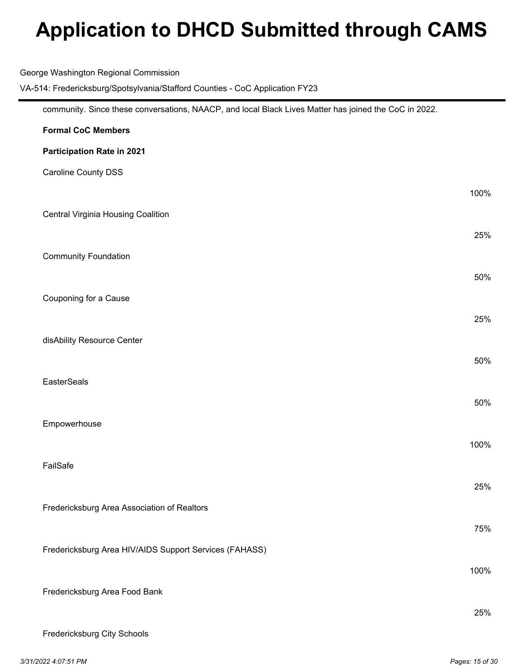| George Washington Regional Commission<br>VA-514: Fredericksburg/Spotsylvania/Stafford Counties - CoC Application FY23 |      |
|-----------------------------------------------------------------------------------------------------------------------|------|
| community. Since these conversations, NAACP, and local Black Lives Matter has joined the CoC in 2022.                 |      |
| <b>Formal CoC Members</b>                                                                                             |      |
| Participation Rate in 2021                                                                                            |      |
| <b>Caroline County DSS</b>                                                                                            |      |
|                                                                                                                       | 100% |
| <b>Central Virginia Housing Coalition</b>                                                                             |      |
|                                                                                                                       | 25%  |
| <b>Community Foundation</b>                                                                                           |      |
|                                                                                                                       | 50%  |
| Couponing for a Cause                                                                                                 |      |
|                                                                                                                       | 25%  |
| disAbility Resource Center                                                                                            |      |
|                                                                                                                       | 50%  |
| <b>EasterSeals</b>                                                                                                    |      |
|                                                                                                                       | 50%  |
| Empowerhouse                                                                                                          |      |
|                                                                                                                       | 100% |
| FailSafe                                                                                                              | 25%  |
| Fredericksburg Area Association of Realtors                                                                           |      |
|                                                                                                                       | 75%  |
| Fredericksburg Area HIV/AIDS Support Services (FAHASS)                                                                |      |
|                                                                                                                       | 100% |
| Fredericksburg Area Food Bank                                                                                         |      |
|                                                                                                                       | 25%  |
| Fredericksburg City Schools                                                                                           |      |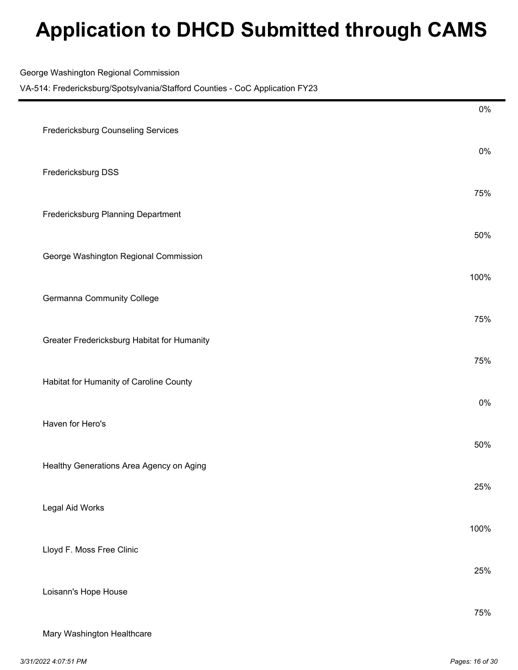George Washington Regional Commission

|                                             | $0\%$ |
|---------------------------------------------|-------|
| Fredericksburg Counseling Services          | 0%    |
| Fredericksburg DSS                          |       |
| Fredericksburg Planning Department          | 75%   |
| George Washington Regional Commission       | 50%   |
|                                             | 100%  |
| Germanna Community College                  | 75%   |
| Greater Fredericksburg Habitat for Humanity |       |
| Habitat for Humanity of Caroline County     | 75%   |
| Haven for Hero's                            | $0\%$ |
|                                             | 50%   |
| Healthy Generations Area Agency on Aging    | 25%   |
| Legal Aid Works                             |       |
| Lloyd F. Moss Free Clinic                   | 100%  |
|                                             | 25%   |
| Loisann's Hope House                        | 75%   |
| Mary Washington Healthcare                  |       |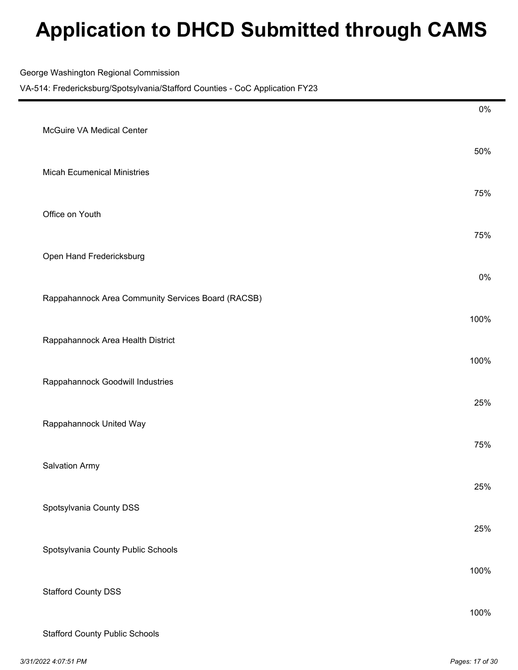|  |  |  | George Washington Regional Commission |
|--|--|--|---------------------------------------|
|--|--|--|---------------------------------------|

|                       |                                                    | $0\%$ |
|-----------------------|----------------------------------------------------|-------|
|                       | McGuire VA Medical Center                          | 50%   |
|                       | <b>Micah Ecumenical Ministries</b>                 |       |
| Office on Youth       |                                                    | 75%   |
|                       |                                                    | 75%   |
|                       | Open Hand Fredericksburg                           | 0%    |
|                       | Rappahannock Area Community Services Board (RACSB) |       |
|                       |                                                    | 100%  |
|                       | Rappahannock Area Health District                  | 100%  |
|                       | Rappahannock Goodwill Industries                   |       |
|                       | Rappahannock United Way                            | 25%   |
|                       |                                                    | 75%   |
| <b>Salvation Army</b> |                                                    | 25%   |
|                       | Spotsylvania County DSS                            |       |
|                       | Spotsylvania County Public Schools                 | 25%   |
|                       |                                                    | 100%  |
|                       | <b>Stafford County DSS</b>                         | 100%  |
|                       | <b>Stafford County Public Schools</b>              |       |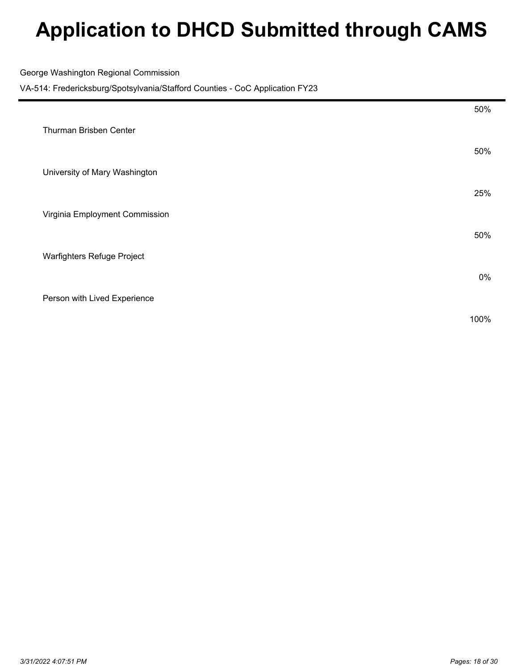George Washington Regional Commission

| 50%  |
|------|
|      |
| 25%  |
|      |
| 50%  |
|      |
| 0%   |
|      |
| 100% |
|      |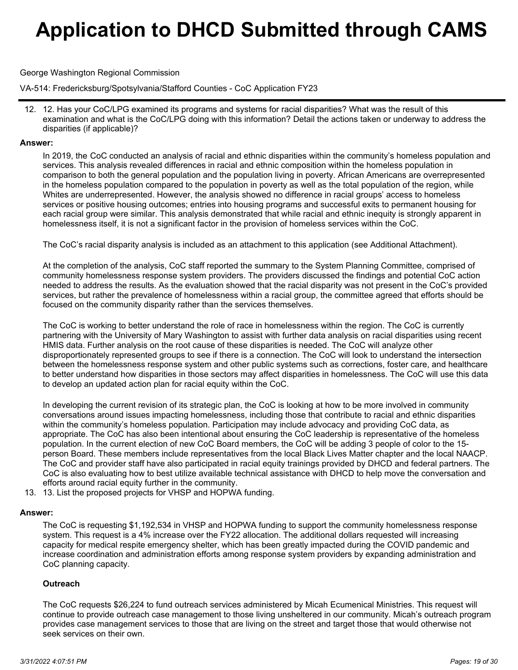### George Washington Regional Commission

VA-514: Fredericksburg/Spotsylvania/Stafford Counties - CoC Application FY23

12. Has your CoC/LPG examined its programs and systems for racial disparities? What was the result of this 12. examination and what is the CoC/LPG doing with this information? Detail the actions taken or underway to address the disparities (if applicable)?

#### **Answer:**

In 2019, the CoC conducted an analysis of racial and ethnic disparities within the community's homeless population and services. This analysis revealed differences in racial and ethnic composition within the homeless population in comparison to both the general population and the population living in poverty. African Americans are overrepresented in the homeless population compared to the population in poverty as well as the total population of the region, while Whites are underrepresented. However, the analysis showed no difference in racial groups' access to homeless services or positive housing outcomes; entries into housing programs and successful exits to permanent housing for each racial group were similar. This analysis demonstrated that while racial and ethnic inequity is strongly apparent in homelessness itself, it is not a significant factor in the provision of homeless services within the CoC.

The CoC's racial disparity analysis is included as an attachment to this application (see Additional Attachment).

At the completion of the analysis, CoC staff reported the summary to the System Planning Committee, comprised of community homelessness response system providers. The providers discussed the findings and potential CoC action needed to address the results. As the evaluation showed that the racial disparity was not present in the CoC's provided services, but rather the prevalence of homelessness within a racial group, the committee agreed that efforts should be focused on the community disparity rather than the services themselves.

The CoC is working to better understand the role of race in homelessness within the region. The CoC is currently partnering with the University of Mary Washington to assist with further data analysis on racial disparities using recent HMIS data. Further analysis on the root cause of these disparities is needed. The CoC will analyze other disproportionately represented groups to see if there is a connection. The CoC will look to understand the intersection between the homelessness response system and other public systems such as corrections, foster care, and healthcare to better understand how disparities in those sectors may affect disparities in homelessness. The CoC will use this data to develop an updated action plan for racial equity within the CoC.

In developing the current revision of its strategic plan, the CoC is looking at how to be more involved in community conversations around issues impacting homelessness, including those that contribute to racial and ethnic disparities within the community's homeless population. Participation may include advocacy and providing CoC data, as appropriate. The CoC has also been intentional about ensuring the CoC leadership is representative of the homeless population. In the current election of new CoC Board members, the CoC will be adding 3 people of color to the 15 person Board. These members include representatives from the local Black Lives Matter chapter and the local NAACP. The CoC and provider staff have also participated in racial equity trainings provided by DHCD and federal partners. The CoC is also evaluating how to best utilize available technical assistance with DHCD to help move the conversation and efforts around racial equity further in the community.

13. 13. List the proposed projects for VHSP and HOPWA funding.

### **Answer:**

The CoC is requesting \$1,192,534 in VHSP and HOPWA funding to support the community homelessness response system. This request is a 4% increase over the FY22 allocation. The additional dollars requested will increasing capacity for medical respite emergency shelter, which has been greatly impacted during the COVID pandemic and increase coordination and administration efforts among response system providers by expanding administration and CoC planning capacity.

## **Outreach**

The CoC requests \$26,224 to fund outreach services administered by Micah Ecumenical Ministries. This request will continue to provide outreach case management to those living unsheltered in our community. Micah's outreach program provides case management services to those that are living on the street and target those that would otherwise not seek services on their own.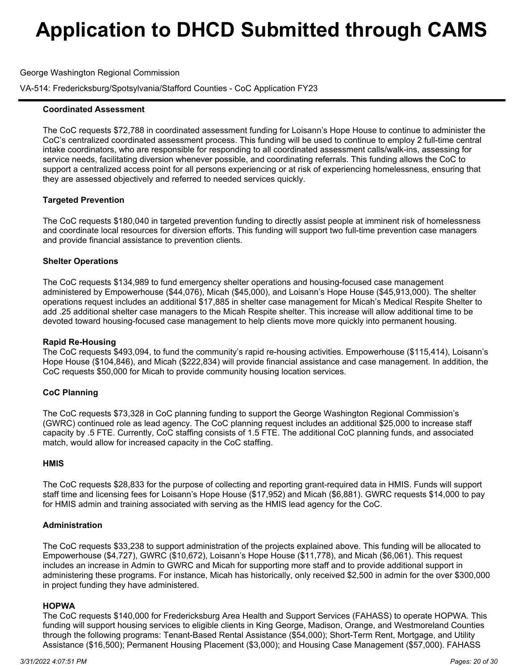George Washington Regional Commission

VA-514: Fredericksburg/Spotsylvania/Stafford Counties - CoC Application FY23

### **Coordinated Assessment**

The CoC requests \$72,788 in coordinated assessment funding for Loisann's Hope House to continue to administer the CoC's centralized coordinated assessment process. This funding will be used to continue to employ 2 full-time central intake coordinators, who are responsible for responding to all coordinated assessment calls/walk-ins, assessing for service needs, facilitating diversion whenever possible, and coordinating referrals. This funding allows the CoC to support a centralized access point for all persons experiencing or at risk of experiencing homelessness, ensuring that they are assessed objectively and referred to needed services quickly.

### **Targeted Prevention**

The CoC requests \$180,040 in targeted prevention funding to directly assist people at imminent risk of homelessness and coordinate local resources for diversion efforts. This funding will support two full-time prevention case managers and provide financial assistance to prevention clients.

### **Shelter Operations**

The CoC requests \$134,989 to fund emergency shelter operations and housing-focused case management administered by Empowerhouse (\$44,076), Micah (\$45,000), and Loisann's Hope House (\$45,913,000). The shelter operations request includes an additional \$17,885 in shelter case management for Micah's Medical Respite Shelter to add .25 additional shelter case managers to the Micah Respite shelter. This increase will allow additional time to be devoted toward housing-focused case management to help clients move more quickly into permanent housing.

### **Rapid Re-Housing**

The CoC requests \$493,094, to fund the community's rapid re-housing activities. Empowerhouse (\$115,414), Loisann's Hope House (\$104,846), and Micah (\$222,834) will provide financial assistance and case management. In addition, the CoC requests \$50,000 for Micah to provide community housing location services.

### **CoC Planning**

The CoC requests \$73,328 in CoC planning funding to support the George Washington Regional Commission's (GWRC) continued role as lead agency. The CoC planning request includes an additional \$25,000 to increase staff capacity by .5 FTE. Currently, CoC staffing consists of 1.5 FTE. The additional CoC planning funds, and associated match, would allow for increased capacity in the CoC staffing.

### **HMIS**

The CoC requests \$28,833 for the purpose of collecting and reporting grant-required data in HMIS. Funds will support staff time and licensing fees for Loisann's Hope House (\$17,952) and Micah (\$6,881). GWRC requests \$14,000 to pay for HMIS admin and training associated with serving as the HMIS lead agency for the CoC.

### **Administration**

The CoC requests \$33,238 to support administration of the projects explained above. This funding will be allocated to Empowerhouse (\$4,727), GWRC (\$10,672), Loisann's Hope House (\$11,778), and Micah (\$6,061). This request includes an increase in Admin to GWRC and Micah for supporting more staff and to provide additional support in administering these programs. For instance, Micah has historically, only received \$2,500 in admin for the over \$300,000 in project funding they have administered.

### **HOPWA**

The CoC requests \$140,000 for Fredericksburg Area Health and Support Services (FAHASS) to operate HOPWA. This funding will support housing services to eligible clients in King George, Madison, Orange, and Westmoreland Counties through the following programs: Tenant-Based Rental Assistance (\$54,000); Short-Term Rent, Mortgage, and Utility Assistance (\$16,500); Permanent Housing Placement (\$3,000); and Housing Case Management (\$57,000). FAHASS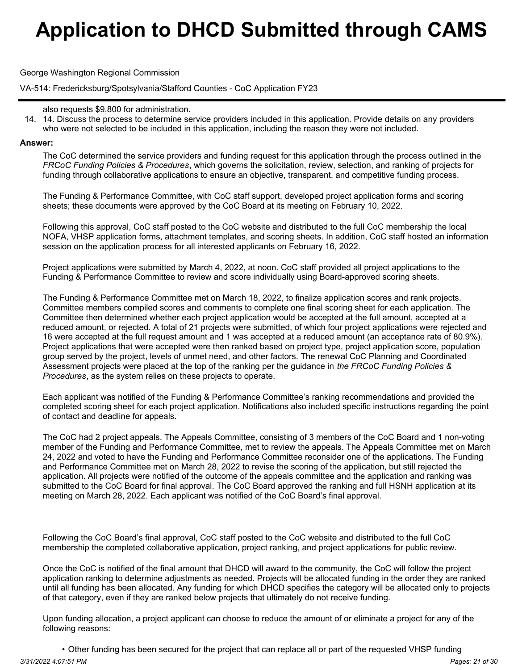George Washington Regional Commission

VA-514: Fredericksburg/Spotsylvania/Stafford Counties - CoC Application FY23

14. Discuss the process to determine service providers included in this application. Provide details on any providers 14. who were not selected to be included in this application, including the reason they were not included.

### **Answer:**

The CoC determined the service providers and funding request for this application through the process outlined in the *FRCoC Funding Policies & Procedures*, which governs the solicitation, review, selection, and ranking of projects for funding through collaborative applications to ensure an objective, transparent, and competitive funding process.

The Funding & Performance Committee, with CoC staff support, developed project application forms and scoring sheets; these documents were approved by the CoC Board at its meeting on February 10, 2022.

Following this approval, CoC staff posted to the CoC website and distributed to the full CoC membership the local NOFA, VHSP application forms, attachment templates, and scoring sheets. In addition, CoC staff hosted an information session on the application process for all interested applicants on February 16, 2022.

Project applications were submitted by March 4, 2022, at noon. CoC staff provided all project applications to the Funding & Performance Committee to review and score individually using Board-approved scoring sheets.

The Funding & Performance Committee met on March 18, 2022, to finalize application scores and rank projects. Committee members compiled scores and comments to complete one final scoring sheet for each application. The Committee then determined whether each project application would be accepted at the full amount, accepted at a reduced amount, or rejected. A total of 21 projects were submitted, of which four project applications were rejected and 16 were accepted at the full request amount and 1 was accepted at a reduced amount (an acceptance rate of 80.9%). Project applications that were accepted were then ranked based on project type, project application score, population group served by the project, levels of unmet need, and other factors. The renewal CoC Planning and Coordinated Assessment projects were placed at the top of the ranking per the guidance in *the FRCoC Funding Policies & Procedures*, as the system relies on these projects to operate.

Each applicant was notified of the Funding & Performance Committee's ranking recommendations and provided the completed scoring sheet for each project application. Notifications also included specific instructions regarding the point of contact and deadline for appeals.

The CoC had 2 project appeals. The Appeals Committee, consisting of 3 members of the CoC Board and 1 non-voting member of the Funding and Performance Committee, met to review the appeals. The Appeals Committee met on March 24, 2022 and voted to have the Funding and Performance Committee reconsider one of the applications. The Funding and Performance Committee met on March 28, 2022 to revise the scoring of the application, but still rejected the application. All projects were notified of the outcome of the appeals committee and the application and ranking was submitted to the CoC Board for final approval. The CoC Board approved the ranking and full HSNH application at its meeting on March 28, 2022. Each applicant was notified of the CoC Board's final approval.

Following the CoC Board's final approval, CoC staff posted to the CoC website and distributed to the full CoC membership the completed collaborative application, project ranking, and project applications for public review.

Once the CoC is notified of the final amount that DHCD will award to the community, the CoC will follow the project application ranking to determine adjustments as needed. Projects will be allocated funding in the order they are ranked until all funding has been allocated. Any funding for which DHCD specifies the category will be allocated only to projects of that category, even if they are ranked below projects that ultimately do not receive funding.

Upon funding allocation, a project applicant can choose to reduce the amount of or eliminate a project for any of the following reasons:

• Other funding has been secured for the project that can replace all or part of the requested VHSP funding *3/31/2022 4:07:51 PM Pages: 21 of 30*

also requests \$9,800 for administration.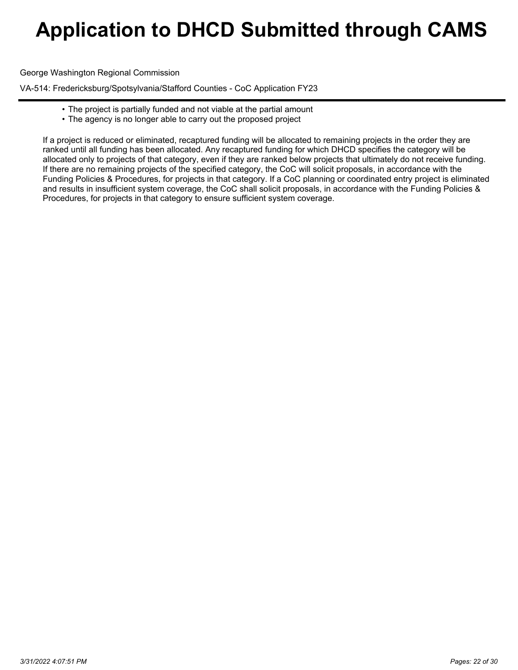George Washington Regional Commission

VA-514: Fredericksburg/Spotsylvania/Stafford Counties - CoC Application FY23

- The project is partially funded and not viable at the partial amount
- The agency is no longer able to carry out the proposed project

If a project is reduced or eliminated, recaptured funding will be allocated to remaining projects in the order they are ranked until all funding has been allocated. Any recaptured funding for which DHCD specifies the category will be allocated only to projects of that category, even if they are ranked below projects that ultimately do not receive funding. If there are no remaining projects of the specified category, the CoC will solicit proposals, in accordance with the Funding Policies & Procedures, for projects in that category. If a CoC planning or coordinated entry project is eliminated and results in insufficient system coverage, the CoC shall solicit proposals, in accordance with the Funding Policies & Procedures, for projects in that category to ensure sufficient system coverage.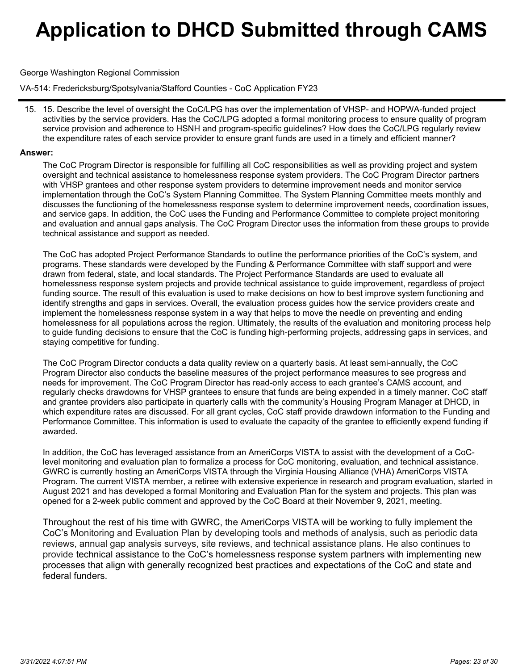### George Washington Regional Commission

VA-514: Fredericksburg/Spotsylvania/Stafford Counties - CoC Application FY23

15. Describe the level of oversight the CoC/LPG has over the implementation of VHSP- and HOPWA-funded project 15. activities by the service providers. Has the CoC/LPG adopted a formal monitoring process to ensure quality of program service provision and adherence to HSNH and program-specific guidelines? How does the CoC/LPG regularly review the expenditure rates of each service provider to ensure grant funds are used in a timely and efficient manner?

#### **Answer:**

The CoC Program Director is responsible for fulfilling all CoC responsibilities as well as providing project and system oversight and technical assistance to homelessness response system providers. The CoC Program Director partners with VHSP grantees and other response system providers to determine improvement needs and monitor service implementation through the CoC's System Planning Committee. The System Planning Committee meets monthly and discusses the functioning of the homelessness response system to determine improvement needs, coordination issues, and service gaps. In addition, the CoC uses the Funding and Performance Committee to complete project monitoring and evaluation and annual gaps analysis. The CoC Program Director uses the information from these groups to provide technical assistance and support as needed.

The CoC has adopted Project Performance Standards to outline the performance priorities of the CoC's system, and programs. These standards were developed by the Funding & Performance Committee with staff support and were drawn from federal, state, and local standards. The Project Performance Standards are used to evaluate all homelessness response system projects and provide technical assistance to guide improvement, regardless of project funding source. The result of this evaluation is used to make decisions on how to best improve system functioning and identify strengths and gaps in services. Overall, the evaluation process guides how the service providers create and implement the homelessness response system in a way that helps to move the needle on preventing and ending homelessness for all populations across the region. Ultimately, the results of the evaluation and monitoring process help to guide funding decisions to ensure that the CoC is funding high-performing projects, addressing gaps in services, and staying competitive for funding.

The CoC Program Director conducts a data quality review on a quarterly basis. At least semi-annually, the CoC Program Director also conducts the baseline measures of the project performance measures to see progress and needs for improvement. The CoC Program Director has read-only access to each grantee's CAMS account, and regularly checks drawdowns for VHSP grantees to ensure that funds are being expended in a timely manner. CoC staff and grantee providers also participate in quarterly calls with the community's Housing Program Manager at DHCD, in which expenditure rates are discussed. For all grant cycles, CoC staff provide drawdown information to the Funding and Performance Committee. This information is used to evaluate the capacity of the grantee to efficiently expend funding if awarded.

In addition, the CoC has leveraged assistance from an AmeriCorps VISTA to assist with the development of a CoClevel monitoring and evaluation plan to formalize a process for CoC monitoring, evaluation, and technical assistance. GWRC is currently hosting an AmeriCorps VISTA through the Virginia Housing Alliance (VHA) AmeriCorps VISTA Program. The current VISTA member, a retiree with extensive experience in research and program evaluation, started in August 2021 and has developed a formal Monitoring and Evaluation Plan for the system and projects. This plan was opened for a 2-week public comment and approved by the CoC Board at their November 9, 2021, meeting.

Throughout the rest of his time with GWRC, the AmeriCorps VISTA will be working to fully implement the CoC's Monitoring and Evaluation Plan by developing tools and methods of analysis, such as periodic data reviews, annual gap analysis surveys, site reviews, and technical assistance plans. He also continues to provide technical assistance to the CoC's homelessness response system partners with implementing new processes that align with generally recognized best practices and expectations of the CoC and state and federal funders.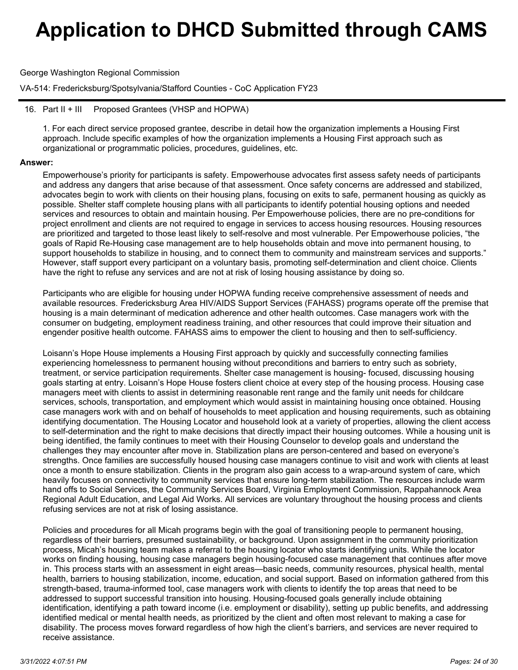George Washington Regional Commission

VA-514: Fredericksburg/Spotsylvania/Stafford Counties - CoC Application FY23

### 16. Part II + III Proposed Grantees (VHSP and HOPWA)

1. For each direct service proposed grantee, describe in detail how the organization implements a Housing First approach. Include specific examples of how the organization implements a Housing First approach such as organizational or programmatic policies, procedures, guidelines, etc.

#### **Answer:**

Empowerhouse's priority for participants is safety. Empowerhouse advocates first assess safety needs of participants and address any dangers that arise because of that assessment. Once safety concerns are addressed and stabilized, advocates begin to work with clients on their housing plans, focusing on exits to safe, permanent housing as quickly as possible. Shelter staff complete housing plans with all participants to identify potential housing options and needed services and resources to obtain and maintain housing. Per Empowerhouse policies, there are no pre-conditions for project enrollment and clients are not required to engage in services to access housing resources. Housing resources are prioritized and targeted to those least likely to self-resolve and most vulnerable. Per Empowerhouse policies, "the goals of Rapid Re-Housing case management are to help households obtain and move into permanent housing, to support households to stabilize in housing, and to connect them to community and mainstream services and supports." However, staff support every participant on a voluntary basis, promoting self-determination and client choice. Clients have the right to refuse any services and are not at risk of losing housing assistance by doing so.

Participants who are eligible for housing under HOPWA funding receive comprehensive assessment of needs and available resources. Fredericksburg Area HIV/AIDS Support Services (FAHASS) programs operate off the premise that housing is a main determinant of medication adherence and other health outcomes. Case managers work with the consumer on budgeting, employment readiness training, and other resources that could improve their situation and engender positive health outcome. FAHASS aims to empower the client to housing and then to self-sufficiency.

Loisann's Hope House implements a Housing First approach by quickly and successfully connecting families experiencing homelessness to permanent housing without preconditions and barriers to entry such as sobriety, treatment, or service participation requirements. Shelter case management is housing- focused, discussing housing goals starting at entry. Loisann's Hope House fosters client choice at every step of the housing process. Housing case managers meet with clients to assist in determining reasonable rent range and the family unit needs for childcare services, schools, transportation, and employment which would assist in maintaining housing once obtained. Housing case managers work with and on behalf of households to meet application and housing requirements, such as obtaining identifying documentation. The Housing Locator and household look at a variety of properties, allowing the client access to self-determination and the right to make decisions that directly impact their housing outcomes. While a housing unit is being identified, the family continues to meet with their Housing Counselor to develop goals and understand the challenges they may encounter after move in. Stabilization plans are person-centered and based on everyone's strengths. Once families are successfully housed housing case managers continue to visit and work with clients at least once a month to ensure stabilization. Clients in the program also gain access to a wrap-around system of care, which heavily focuses on connectivity to community services that ensure long-term stabilization. The resources include warm hand offs to Social Services, the Community Services Board, Virginia Employment Commission, Rappahannock Area Regional Adult Education, and Legal Aid Works. All services are voluntary throughout the housing process and clients refusing services are not at risk of losing assistance.

Policies and procedures for all Micah programs begin with the goal of transitioning people to permanent housing, regardless of their barriers, presumed sustainability, or background. Upon assignment in the community prioritization process, Micah's housing team makes a referral to the housing locator who starts identifying units. While the locator works on finding housing, housing case managers begin housing-focused case management that continues after move in. This process starts with an assessment in eight areas—basic needs, community resources, physical health, mental health, barriers to housing stabilization, income, education, and social support. Based on information gathered from this strength-based, trauma-informed tool, case managers work with clients to identify the top areas that need to be addressed to support successful transition into housing. Housing-focused goals generally include obtaining identification, identifying a path toward income (i.e. employment or disability), setting up public benefits, and addressing identified medical or mental health needs, as prioritized by the client and often most relevant to making a case for disability. The process moves forward regardless of how high the client's barriers, and services are never required to receive assistance.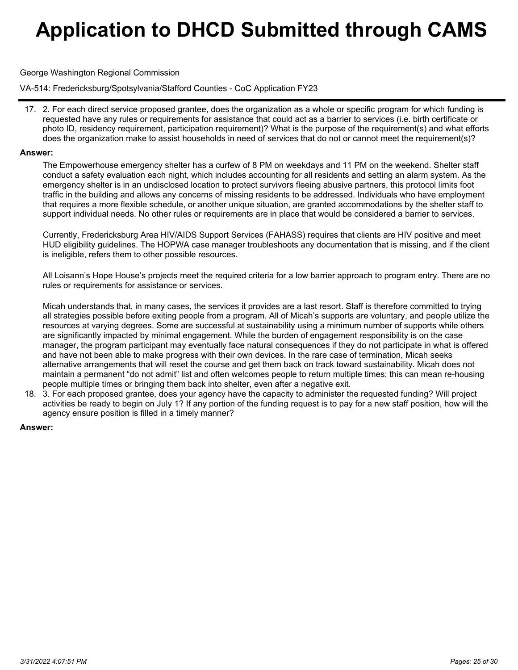### George Washington Regional Commission

VA-514: Fredericksburg/Spotsylvania/Stafford Counties - CoC Application FY23

17. 2. For each direct service proposed grantee, does the organization as a whole or specific program for which funding is requested have any rules or requirements for assistance that could act as a barrier to services (i.e. birth certificate or photo ID, residency requirement, participation requirement)? What is the purpose of the requirement(s) and what efforts does the organization make to assist households in need of services that do not or cannot meet the requirement(s)?

#### **Answer:**

The Empowerhouse emergency shelter has a curfew of 8 PM on weekdays and 11 PM on the weekend. Shelter staff conduct a safety evaluation each night, which includes accounting for all residents and setting an alarm system. As the emergency shelter is in an undisclosed location to protect survivors fleeing abusive partners, this protocol limits foot traffic in the building and allows any concerns of missing residents to be addressed. Individuals who have employment that requires a more flexible schedule, or another unique situation, are granted accommodations by the shelter staff to support individual needs. No other rules or requirements are in place that would be considered a barrier to services.

Currently, Fredericksburg Area HIV/AIDS Support Services (FAHASS) requires that clients are HIV positive and meet HUD eligibility guidelines. The HOPWA case manager troubleshoots any documentation that is missing, and if the client is ineligible, refers them to other possible resources.

All Loisann's Hope House's projects meet the required criteria for a low barrier approach to program entry. There are no rules or requirements for assistance or services.

Micah understands that, in many cases, the services it provides are a last resort. Staff is therefore committed to trying all strategies possible before exiting people from a program. All of Micah's supports are voluntary, and people utilize the resources at varying degrees. Some are successful at sustainability using a minimum number of supports while others are significantly impacted by minimal engagement. While the burden of engagement responsibility is on the case manager, the program participant may eventually face natural consequences if they do not participate in what is offered and have not been able to make progress with their own devices. In the rare case of termination, Micah seeks alternative arrangements that will reset the course and get them back on track toward sustainability. Micah does not maintain a permanent "do not admit" list and often welcomes people to return multiple times; this can mean re-housing people multiple times or bringing them back into shelter, even after a negative exit.

3. For each proposed grantee, does your agency have the capacity to administer the requested funding? Will project 18. activities be ready to begin on July 1? If any portion of the funding request is to pay for a new staff position, how will the agency ensure position is filled in a timely manner?

### **Answer:**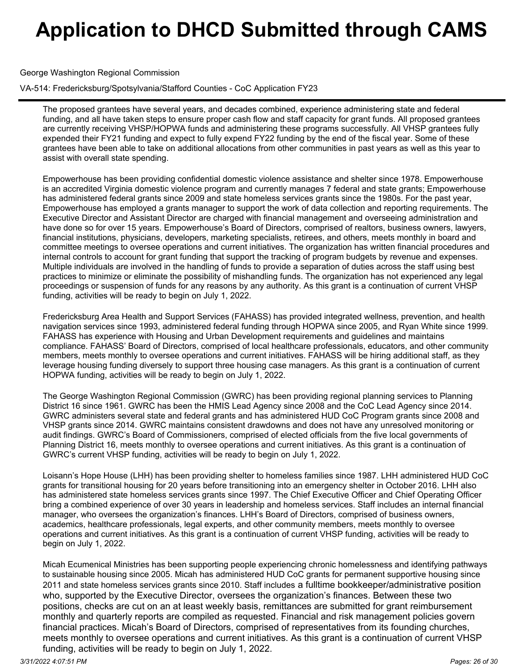George Washington Regional Commission

VA-514: Fredericksburg/Spotsylvania/Stafford Counties - CoC Application FY23

The proposed grantees have several years, and decades combined, experience administering state and federal funding, and all have taken steps to ensure proper cash flow and staff capacity for grant funds. All proposed grantees are currently receiving VHSP/HOPWA funds and administering these programs successfully. All VHSP grantees fully expended their FY21 funding and expect to fully expend FY22 funding by the end of the fiscal year. Some of these grantees have been able to take on additional allocations from other communities in past years as well as this year to assist with overall state spending.

Empowerhouse has been providing confidential domestic violence assistance and shelter since 1978. Empowerhouse is an accredited Virginia domestic violence program and currently manages 7 federal and state grants; Empowerhouse has administered federal grants since 2009 and state homeless services grants since the 1980s. For the past year, Empowerhouse has employed a grants manager to support the work of data collection and reporting requirements. The Executive Director and Assistant Director are charged with financial management and overseeing administration and have done so for over 15 years. Empowerhouse's Board of Directors, comprised of realtors, business owners, lawyers, financial institutions, physicians, developers, marketing specialists, retirees, and others, meets monthly in board and committee meetings to oversee operations and current initiatives. The organization has written financial procedures and internal controls to account for grant funding that support the tracking of program budgets by revenue and expenses. Multiple individuals are involved in the handling of funds to provide a separation of duties across the staff using best practices to minimize or eliminate the possibility of mishandling funds. The organization has not experienced any legal proceedings or suspension of funds for any reasons by any authority. As this grant is a continuation of current VHSP funding, activities will be ready to begin on July 1, 2022.

Fredericksburg Area Health and Support Services (FAHASS) has provided integrated wellness, prevention, and health navigation services since 1993, administered federal funding through HOPWA since 2005, and Ryan White since 1999. FAHASS has experience with Housing and Urban Development requirements and guidelines and maintains compliance. FAHASS' Board of Directors, comprised of local healthcare professionals, educators, and other community members, meets monthly to oversee operations and current initiatives. FAHASS will be hiring additional staff, as they leverage housing funding diversely to support three housing case managers. As this grant is a continuation of current HOPWA funding, activities will be ready to begin on July 1, 2022.

The George Washington Regional Commission (GWRC) has been providing regional planning services to Planning District 16 since 1961. GWRC has been the HMIS Lead Agency since 2008 and the CoC Lead Agency since 2014. GWRC administers several state and federal grants and has administered HUD CoC Program grants since 2008 and VHSP grants since 2014. GWRC maintains consistent drawdowns and does not have any unresolved monitoring or audit findings. GWRC's Board of Commissioners, comprised of elected officials from the five local governments of Planning District 16, meets monthly to oversee operations and current initiatives. As this grant is a continuation of GWRC's current VHSP funding, activities will be ready to begin on July 1, 2022.

Loisann's Hope House (LHH) has been providing shelter to homeless families since 1987. LHH administered HUD CoC grants for transitional housing for 20 years before transitioning into an emergency shelter in October 2016. LHH also has administered state homeless services grants since 1997. The Chief Executive Officer and Chief Operating Officer bring a combined experience of over 30 years in leadership and homeless services. Staff includes an internal financial manager, who oversees the organization's finances. LHH's Board of Directors, comprised of business owners, academics, healthcare professionals, legal experts, and other community members, meets monthly to oversee operations and current initiatives. As this grant is a continuation of current VHSP funding, activities will be ready to begin on July 1, 2022.

Micah Ecumenical Ministries has been supporting people experiencing chronic homelessness and identifying pathways to sustainable housing since 2005. Micah has administered HUD CoC grants for permanent supportive housing since 2011 and state homeless services grants since 2010. Staff includes a fulltime bookkeeper/administrative position who, supported by the Executive Director, oversees the organization's finances. Between these two positions, checks are cut on an at least weekly basis, remittances are submitted for grant reimbursement monthly and quarterly reports are compiled as requested. Financial and risk management policies govern financial practices. Micah's Board of Directors, comprised of representatives from its founding churches, meets monthly to oversee operations and current initiatives. As this grant is a continuation of current VHSP funding, activities will be ready to begin on July 1, 2022.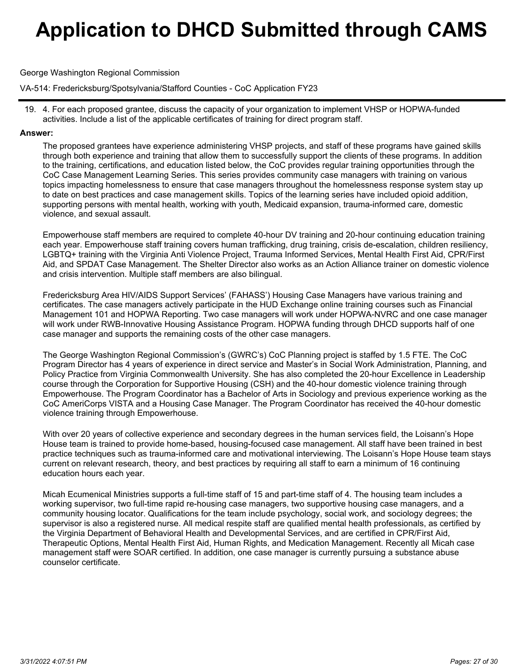George Washington Regional Commission

VA-514: Fredericksburg/Spotsylvania/Stafford Counties - CoC Application FY23

4. For each proposed grantee, discuss the capacity of your organization to implement VHSP or HOPWA-funded 19. activities. Include a list of the applicable certificates of training for direct program staff.

### **Answer:**

The proposed grantees have experience administering VHSP projects, and staff of these programs have gained skills through both experience and training that allow them to successfully support the clients of these programs. In addition to the training, certifications, and education listed below, the CoC provides regular training opportunities through the CoC Case Management Learning Series. This series provides community case managers with training on various topics impacting homelessness to ensure that case managers throughout the homelessness response system stay up to date on best practices and case management skills. Topics of the learning series have included opioid addition, supporting persons with mental health, working with youth, Medicaid expansion, trauma-informed care, domestic violence, and sexual assault.

Empowerhouse staff members are required to complete 40-hour DV training and 20-hour continuing education training each year. Empowerhouse staff training covers human trafficking, drug training, crisis de-escalation, children resiliency, LGBTQ+ training with the Virginia Anti Violence Project, Trauma Informed Services, Mental Health First Aid, CPR/First Aid, and SPDAT Case Management. The Shelter Director also works as an Action Alliance trainer on domestic violence and crisis intervention. Multiple staff members are also bilingual.

Fredericksburg Area HIV/AIDS Support Services' (FAHASS') Housing Case Managers have various training and certificates. The case managers actively participate in the HUD Exchange online training courses such as Financial Management 101 and HOPWA Reporting. Two case managers will work under HOPWA-NVRC and one case manager will work under RWB-Innovative Housing Assistance Program. HOPWA funding through DHCD supports half of one case manager and supports the remaining costs of the other case managers.

The George Washington Regional Commission's (GWRC's) CoC Planning project is staffed by 1.5 FTE. The CoC Program Director has 4 years of experience in direct service and Master's in Social Work Administration, Planning, and Policy Practice from Virginia Commonwealth University. She has also completed the 20-hour Excellence in Leadership course through the Corporation for Supportive Housing (CSH) and the 40-hour domestic violence training through Empowerhouse. The Program Coordinator has a Bachelor of Arts in Sociology and previous experience working as the CoC AmeriCorps VISTA and a Housing Case Manager. The Program Coordinator has received the 40-hour domestic violence training through Empowerhouse.

With over 20 years of collective experience and secondary degrees in the human services field, the Loisann's Hope House team is trained to provide home-based, housing-focused case management. All staff have been trained in best practice techniques such as trauma-informed care and motivational interviewing. The Loisann's Hope House team stays current on relevant research, theory, and best practices by requiring all staff to earn a minimum of 16 continuing education hours each year.

Micah Ecumenical Ministries supports a full-time staff of 15 and part-time staff of 4. The housing team includes a working supervisor, two full-time rapid re-housing case managers, two supportive housing case managers, and a community housing locator. Qualifications for the team include psychology, social work, and sociology degrees; the supervisor is also a registered nurse. All medical respite staff are qualified mental health professionals, as certified by the Virginia Department of Behavioral Health and Developmental Services, and are certified in CPR/First Aid, Therapeutic Options, Mental Health First Aid, Human Rights, and Medication Management. Recently all Micah case management staff were SOAR certified. In addition, one case manager is currently pursuing a substance abuse counselor certificate.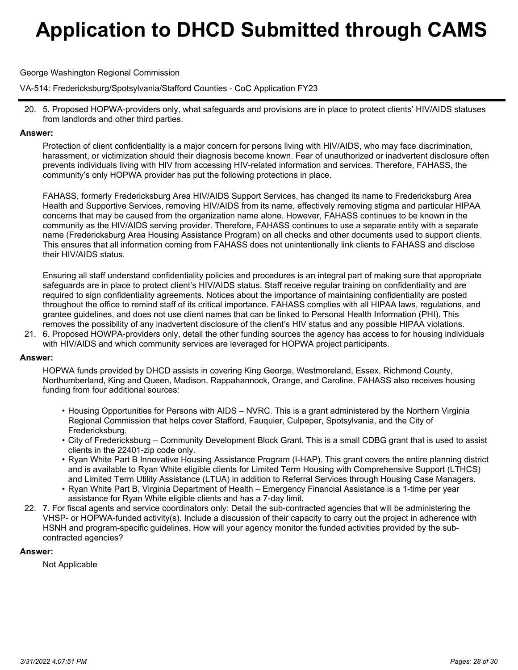George Washington Regional Commission

VA-514: Fredericksburg/Spotsylvania/Stafford Counties - CoC Application FY23

5. Proposed HOPWA-providers only, what safeguards and provisions are in place to protect clients' HIV/AIDS statuses 20. from landlords and other third parties.

### **Answer:**

Protection of client confidentiality is a major concern for persons living with HIV/AIDS, who may face discrimination, harassment, or victimization should their diagnosis become known. Fear of unauthorized or inadvertent disclosure often prevents individuals living with HIV from accessing HIV-related information and services. Therefore, FAHASS, the community's only HOPWA provider has put the following protections in place.

FAHASS, formerly Fredericksburg Area HIV/AIDS Support Services, has changed its name to Fredericksburg Area Health and Supportive Services, removing HIV/AIDS from its name, effectively removing stigma and particular HIPAA concerns that may be caused from the organization name alone. However, FAHASS continues to be known in the community as the HIV/AIDS serving provider. Therefore, FAHASS continues to use a separate entity with a separate name (Fredericksburg Area Housing Assistance Program) on all checks and other documents used to support clients. This ensures that all information coming from FAHASS does not unintentionally link clients to FAHASS and disclose their HIV/AIDS status.

Ensuring all staff understand confidentiality policies and procedures is an integral part of making sure that appropriate safeguards are in place to protect client's HIV/AIDS status. Staff receive regular training on confidentiality and are required to sign confidentiality agreements. Notices about the importance of maintaining confidentiality are posted throughout the office to remind staff of its critical importance. FAHASS complies with all HIPAA laws, regulations, and grantee guidelines, and does not use client names that can be linked to Personal Health Information (PHI). This removes the possibility of any inadvertent disclosure of the client's HIV status and any possible HIPAA violations.

21. 6. Proposed HOWPA-providers only, detail the other funding sources the agency has access to for housing individuals with HIV/AIDS and which community services are leveraged for HOPWA project participants.

### **Answer:**

HOPWA funds provided by DHCD assists in covering King George, Westmoreland, Essex, Richmond County, Northumberland, King and Queen, Madison, Rappahannock, Orange, and Caroline. FAHASS also receives housing funding from four additional sources:

- $\bullet$  Housing Opportunities for Persons with AIDS NVRC. This is a grant administered by the Northern Virginia Regional Commission that helps cover Stafford, Fauquier, Culpeper, Spotsylvania, and the City of Fredericksburg.
- City of Fredericksburg Community Development Block Grant. This is a small CDBG grant that is used to assist •clients in the 22401-zip code only.
- Ryan White Part B Innovative Housing Assistance Program (I-HAP). This grant covers the entire planning district and is available to Ryan White eligible clients for Limited Term Housing with Comprehensive Support (LTHCS) and Limited Term Utility Assistance (LTUA) in addition to Referral Services through Housing Case Managers.
- $\bullet$  Ryan White Part B, Virginia Department of Health Emergency Financial Assistance is a 1-time per year assistance for Ryan White eligible clients and has a 7-day limit.
- 22. 7. For fiscal agents and service coordinators only: Detail the sub-contracted agencies that will be administering the VHSP- or HOPWA-funded activity(s). Include a discussion of their capacity to carry out the project in adherence with HSNH and program-specific guidelines. How will your agency monitor the funded activities provided by the subcontracted agencies?

### **Answer:**

Not Applicable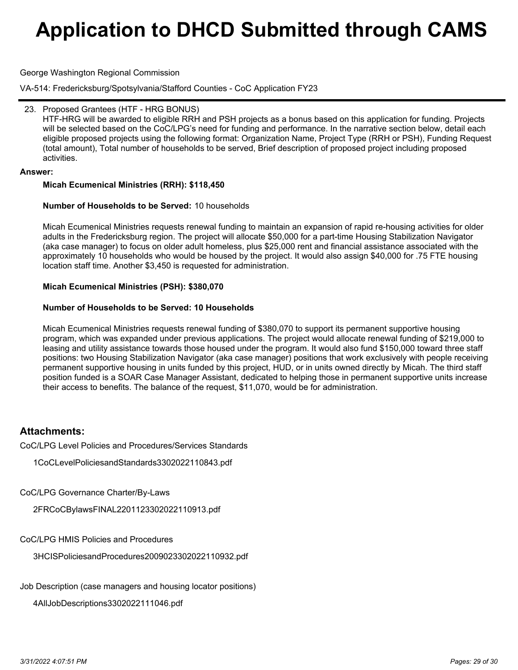George Washington Regional Commission

VA-514: Fredericksburg/Spotsylvania/Stafford Counties - CoC Application FY23

### 23. Proposed Grantees (HTF - HRG BONUS)

HTF-HRG will be awarded to eligible RRH and PSH projects as a bonus based on this application for funding. Projects will be selected based on the CoC/LPG's need for funding and performance. In the narrative section below, detail each eligible proposed projects using the following format: Organization Name, Project Type (RRH or PSH), Funding Request (total amount), Total number of households to be served, Brief description of proposed project including proposed activities.

### **Answer:**

### **Micah Ecumenical Ministries (RRH): \$118,450**

### **Number of Households to be Served:** 10 households

Micah Ecumenical Ministries requests renewal funding to maintain an expansion of rapid re-housing activities for older adults in the Fredericksburg region. The project will allocate \$50,000 for a part-time Housing Stabilization Navigator (aka case manager) to focus on older adult homeless, plus \$25,000 rent and financial assistance associated with the approximately 10 households who would be housed by the project. It would also assign \$40,000 for .75 FTE housing location staff time. Another \$3,450 is requested for administration.

### **Micah Ecumenical Ministries (PSH): \$380,070**

### **Number of Households to be Served: 10 Households**

Micah Ecumenical Ministries requests renewal funding of \$380,070 to support its permanent supportive housing program, which was expanded under previous applications. The project would allocate renewal funding of \$219,000 to leasing and utility assistance towards those housed under the program. It would also fund \$150,000 toward three staff positions: two Housing Stabilization Navigator (aka case manager) positions that work exclusively with people receiving permanent supportive housing in units funded by this project, HUD, or in units owned directly by Micah. The third staff position funded is a SOAR Case Manager Assistant, dedicated to helping those in permanent supportive units increase their access to benefits. The balance of the request, \$11,070, would be for administration.

## **Attachments:**

CoC/LPG Level Policies and Procedures/Services Standards

1CoCLevelPoliciesandStandards3302022110843.pdf

CoC/LPG Governance Charter/By-Laws

2FRCoCBylawsFINAL2201123302022110913.pdf

CoC/LPG HMIS Policies and Procedures

3HCISPoliciesandProcedures2009023302022110932.pdf

Job Description (case managers and housing locator positions)

4AllJobDescriptions3302022111046.pdf